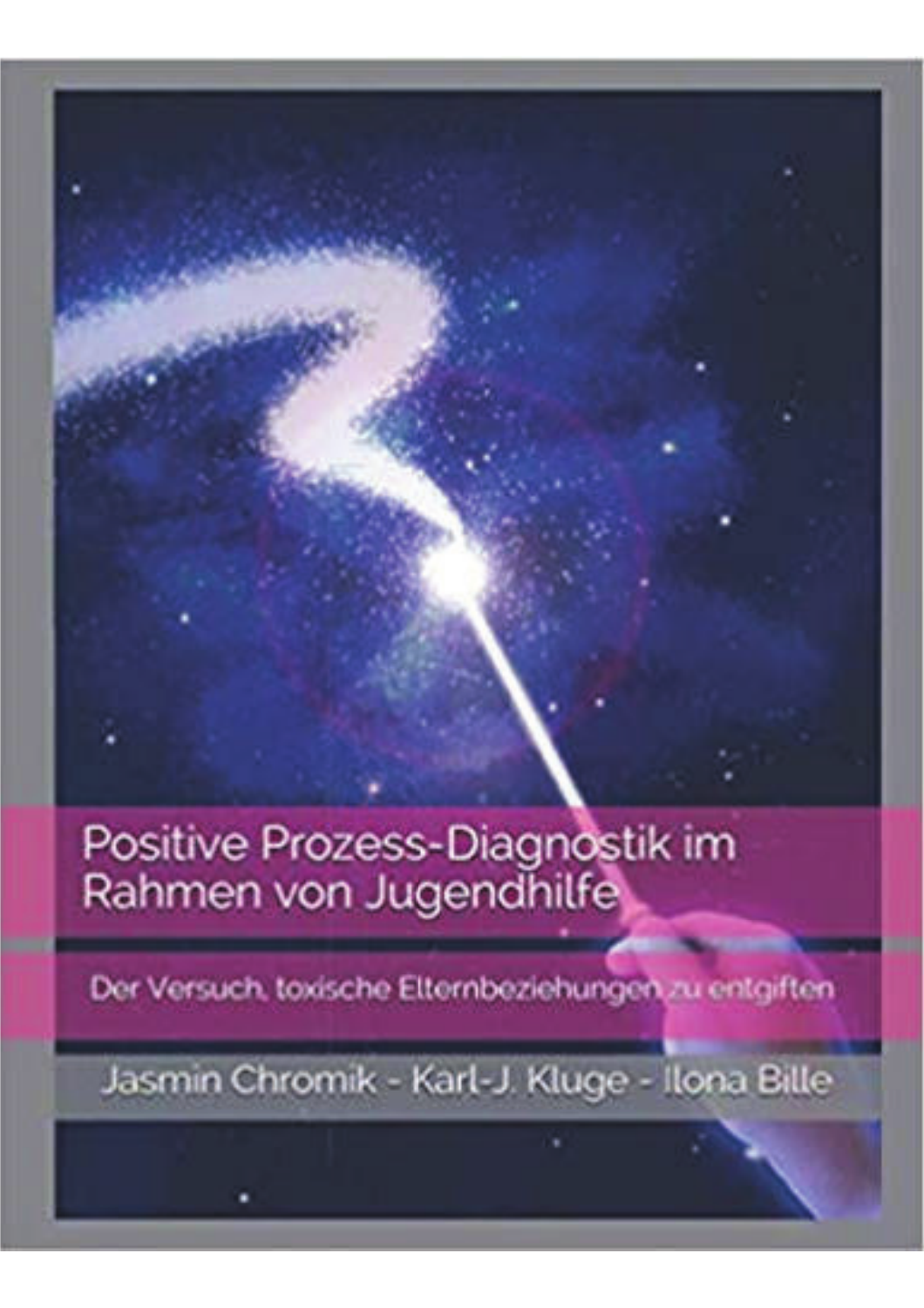# Positive Prozess-Diagnostik im Rahmen von Jugendhilfe

Der Versuch, toxische Etternbeziehungen zu entgiften

Jasmin Chromik - Karl-J. Kluge - Ilona Bille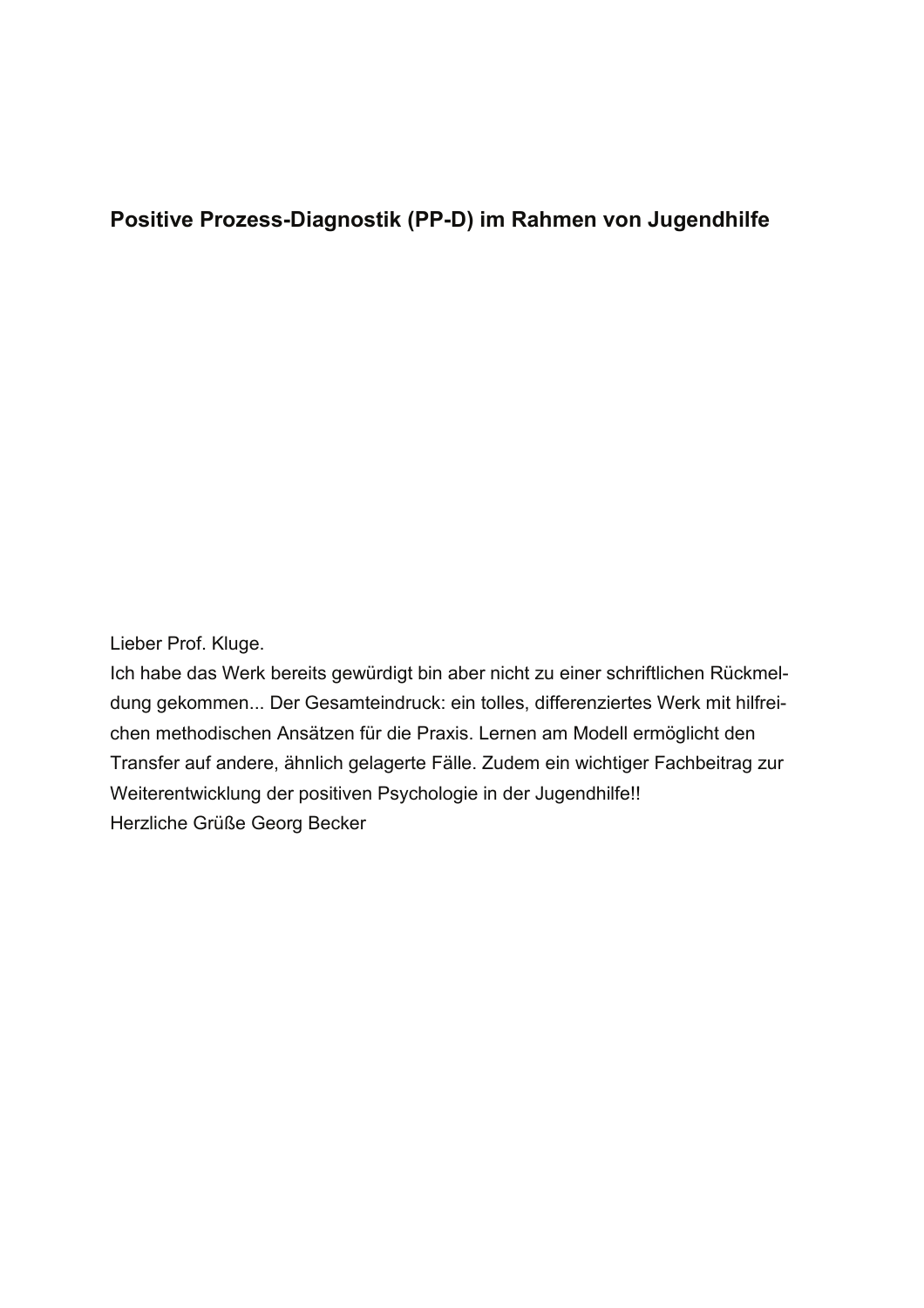# Positive Prozess-Diagnostik (PP-D) im Rahmen von Jugendhilfe

Lieber Prof. Kluge.

Ich habe das Werk bereits gewürdigt bin aber nicht zu einer schriftlichen Rückmeldung gekommen... Der Gesamteindruck: ein tolles, differenziertes Werk mit hilfreichen methodischen Ansätzen für die Praxis. Lernen am Modell ermöglicht den Transfer auf andere, ähnlich gelagerte Fälle. Zudem ein wichtiger Fachbeitrag zur Weiterentwicklung der positiven Psychologie in der Jugendhilfe!! Herzliche Grüße Georg Becker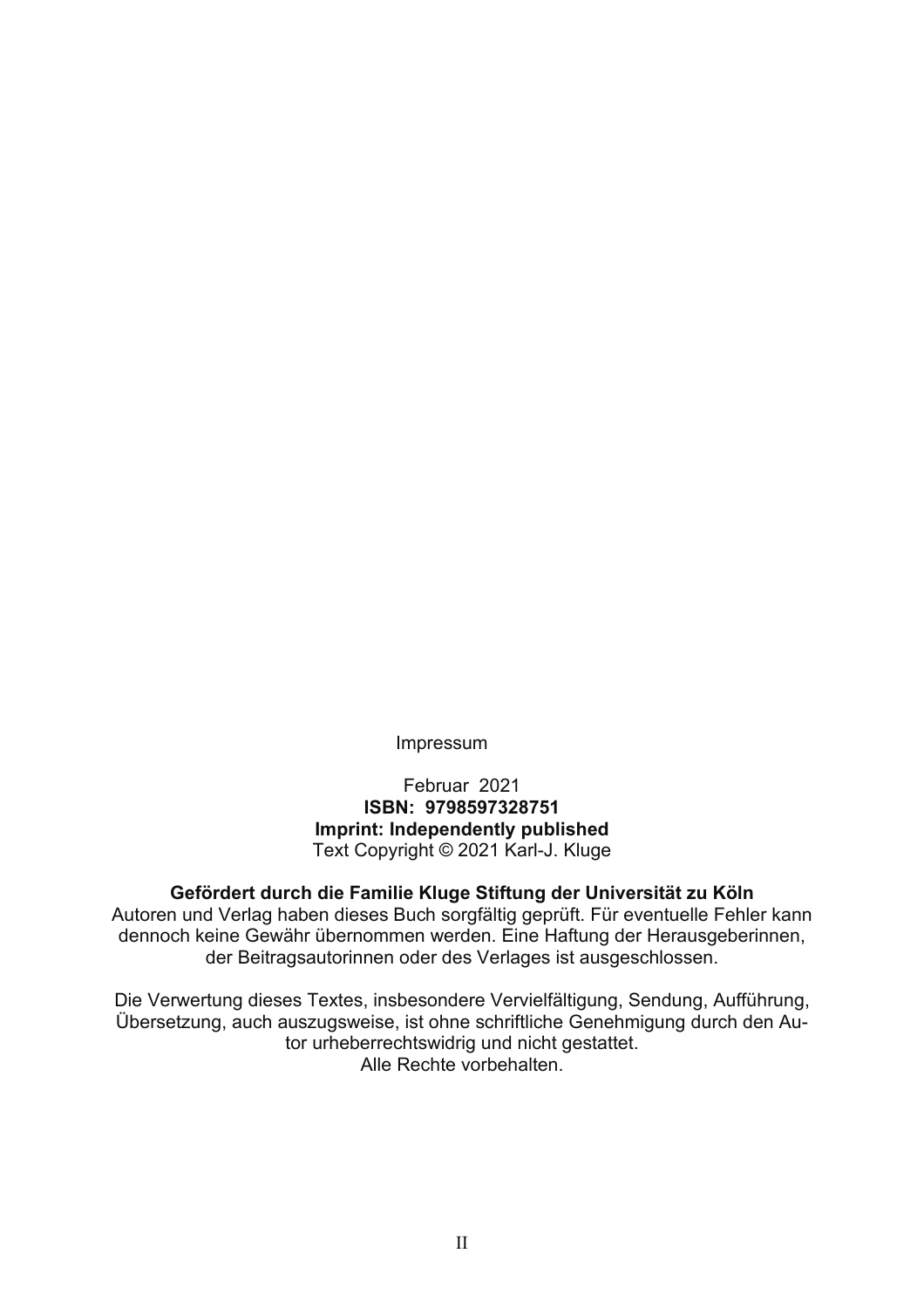Impressum

Februar 2021 ISBN: 9798597328751 Imprint: Independently published Text Copyright © 2021 Karl-J. Kluge

## Gefördert durch die Familie Kluge Stiftung der Universität zu Köln

Autoren und Verlag haben dieses Buch sorgfältig geprüft. Für eventuelle Fehler kann dennoch keine Gewähr übernommen werden. Eine Haftung der Herausgeberinnen, der Beitragsautorinnen oder des Verlages ist ausgeschlossen.

Die Verwertung dieses Textes, insbesondere Vervielfältigung, Sendung, Aufführung, Übersetzung, auch auszugsweise, ist ohne schriftliche Genehmigung durch den Autor urheberrechtswidrig und nicht gestattet. Alle Rechte vorbehalten.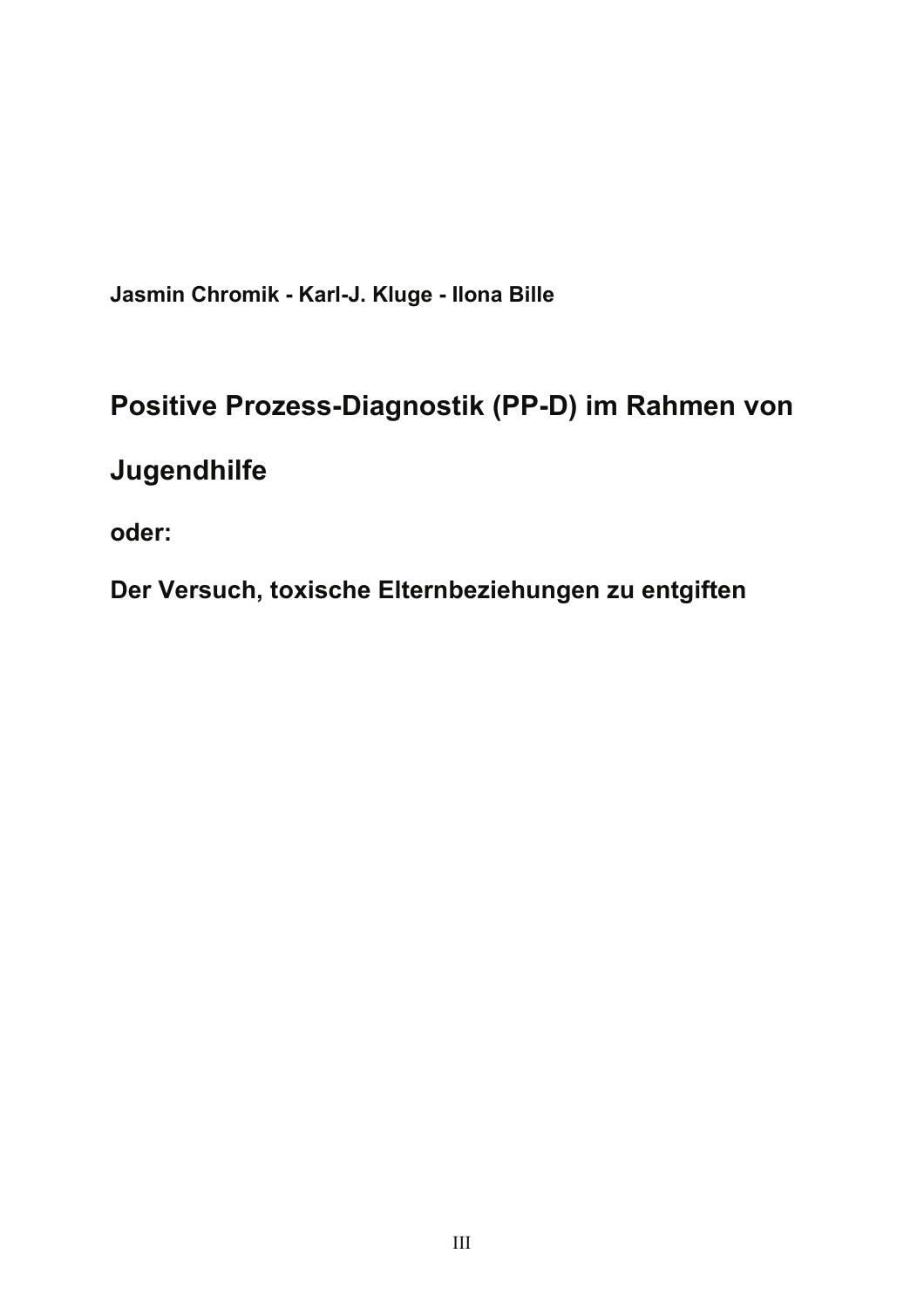Jasmin Chromik - Karl-J. Kluge - Ilona Bille

# Positive Prozess-Diagnostik (PP-D) im Rahmen von

# Jugendhilfe

oder:

Der Versuch, toxische Elternbeziehungen zu entgiften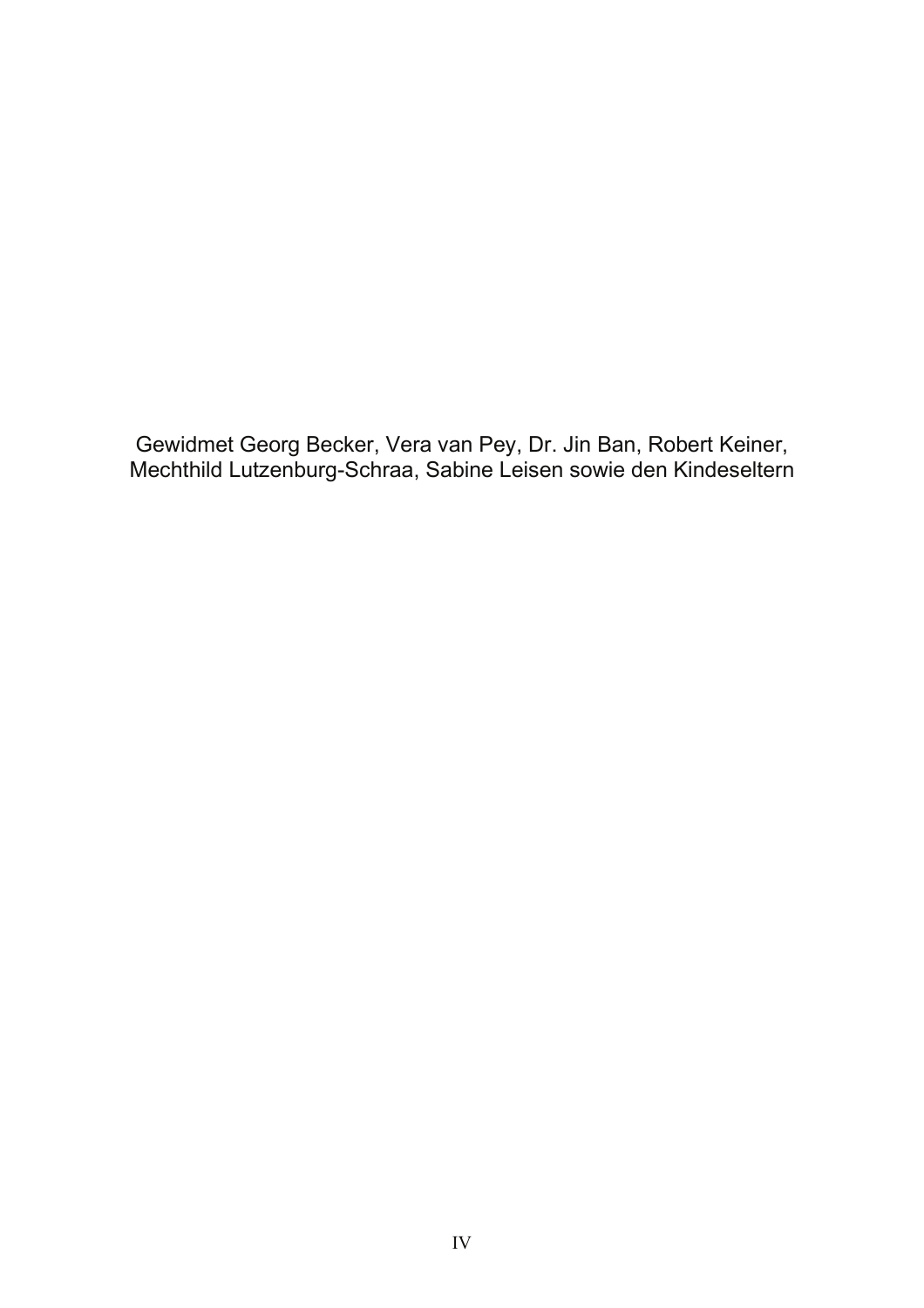Gewidmet Georg Becker, Vera van Pey, Dr. Jin Ban, Robert Keiner,<br>Mechthild Lutzenburg-Schraa, Sabine Leisen sowie den Kindeseltern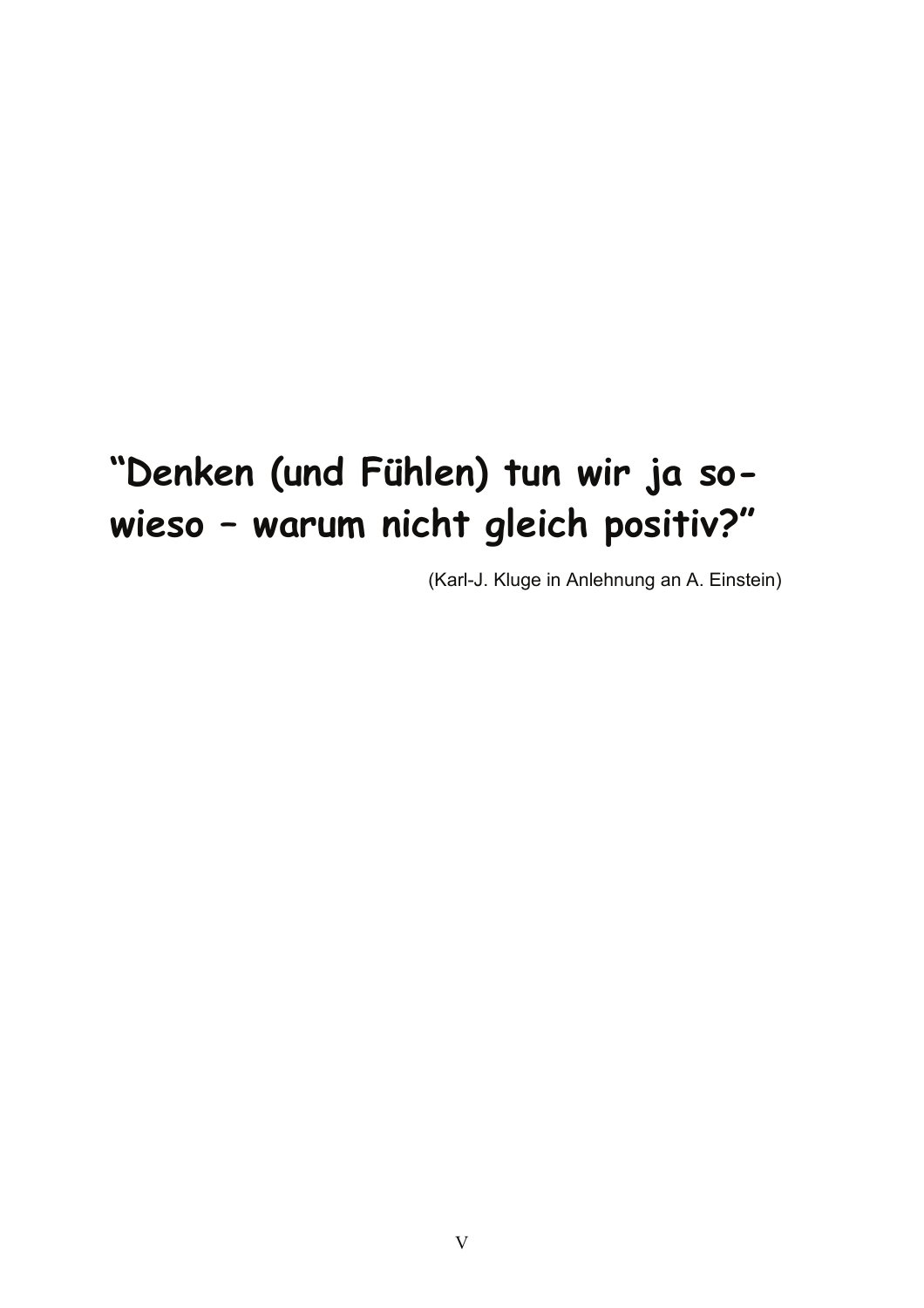# "Denken (und Fühlen) tun wir ja sowieso - warum nicht gleich positiv?"

(Karl-J. Kluge in Anlehnung an A. Einstein)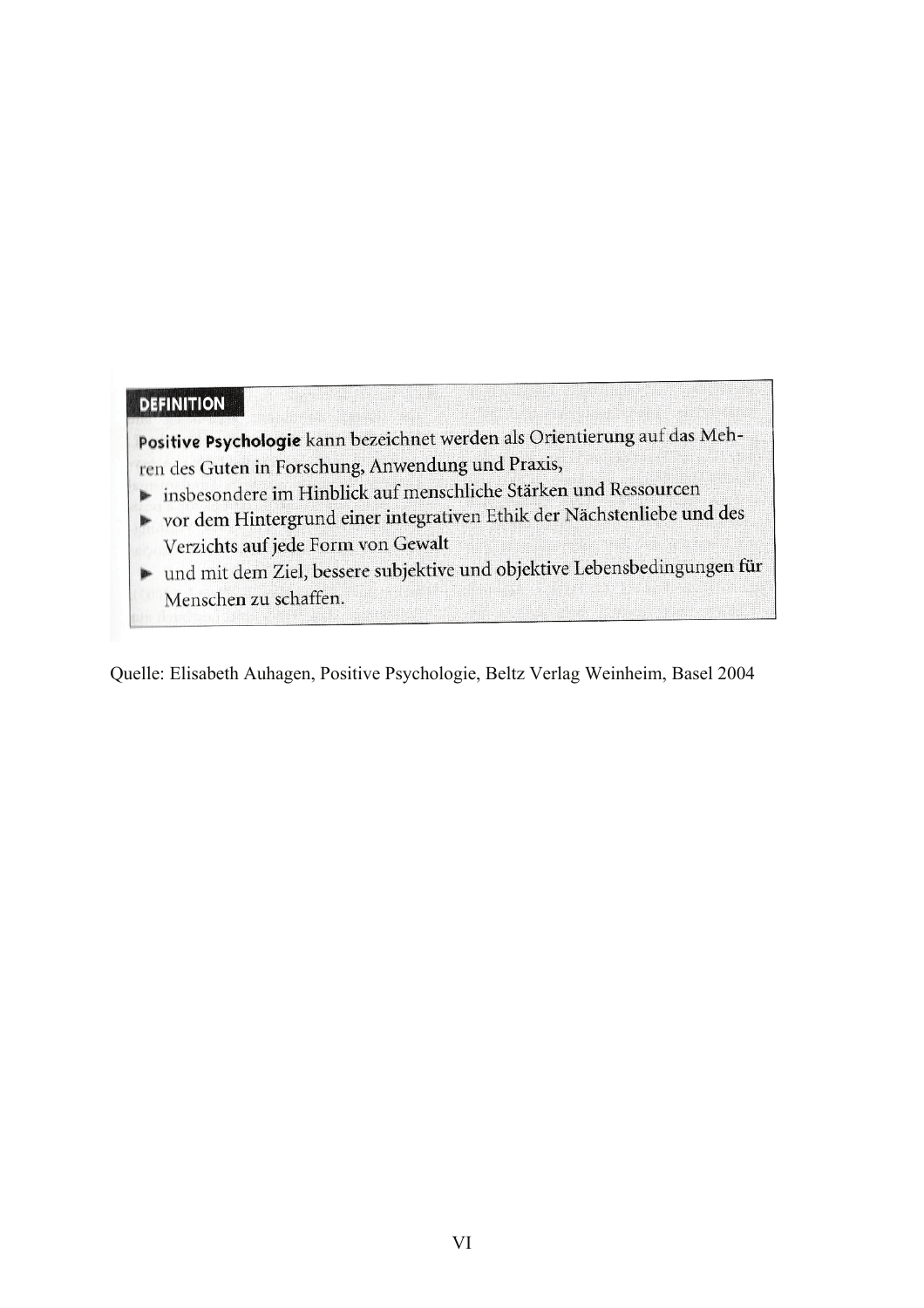# **DEFINITION**

Positive Psychologie kann bezeichnet werden als Orientierung auf das Mehren des Guten in Forschung, Anwendung und Praxis,

- Insbesondere im Hinblick auf menschliche Stärken und Ressourcen
- vor dem Hintergrund einer integrativen Ethik der Nächstenliebe und des Verzichts auf jede Form von Gewalt
- und mit dem Ziel, bessere subjektive und objektive Lebensbedingungen für Menschen zu schaffen.

Quelle: Elisabeth Auhagen, Positive Psychologie, Beltz Verlag Weinheim, Basel 2004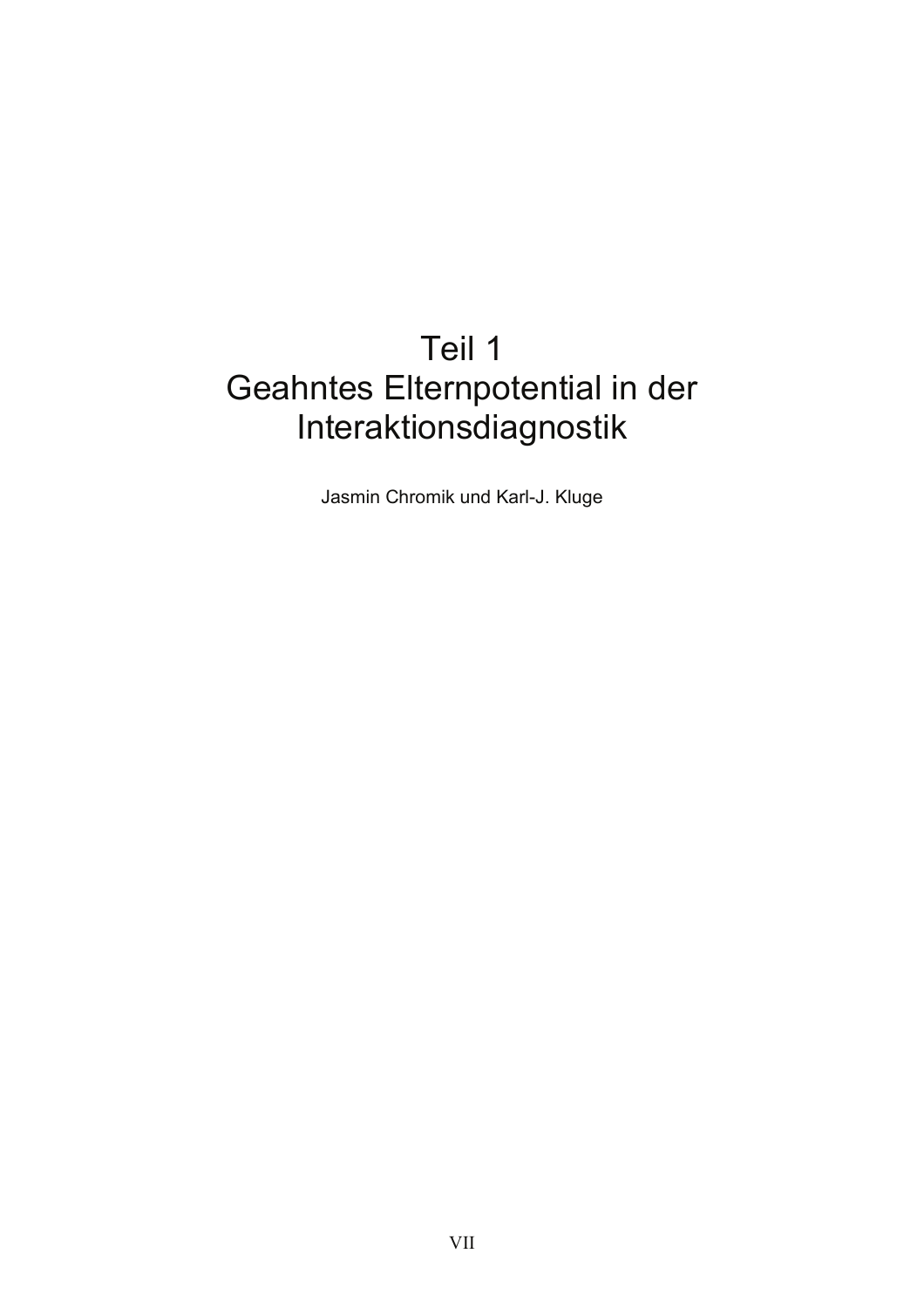# Teil 1 Geahntes Elternpotential in der Interaktionsdiagnostik

Jasmin Chromik und Karl-J. Kluge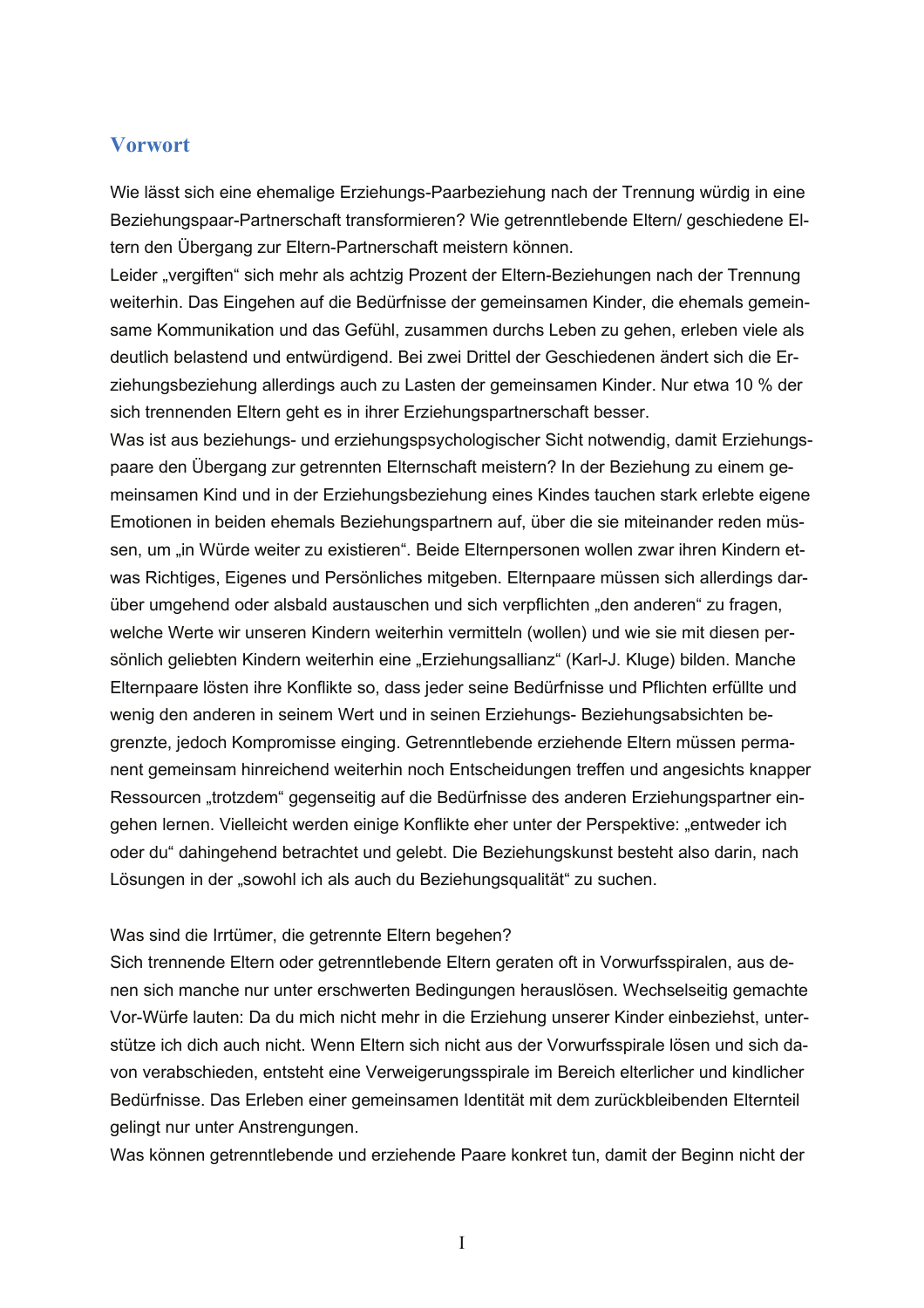## **Vorwort**

Wie lässt sich eine ehemalige Erziehungs-Paarbeziehung nach der Trennung würdig in eine Beziehungspaar-Partnerschaft transformieren? Wie getrenntlebende Eltern/geschiedene Eltern den Übergang zur Eltern-Partnerschaft meistern können.

Leider "vergiften" sich mehr als achtzig Prozent der Eltern-Beziehungen nach der Trennung weiterhin. Das Eingehen auf die Bedürfnisse der gemeinsamen Kinder, die ehemals gemeinsame Kommunikation und das Gefühl, zusammen durchs Leben zu gehen, erleben viele als deutlich belastend und entwürdigend. Bei zwei Drittel der Geschiedenen ändert sich die Erziehungsbeziehung allerdings auch zu Lasten der gemeinsamen Kinder. Nur etwa 10 % der sich trennenden Eltern geht es in ihrer Erziehungspartnerschaft besser.

Was ist aus beziehungs- und erziehungspsychologischer Sicht notwendig, damit Erziehungspaare den Übergang zur getrennten Elternschaft meistern? In der Beziehung zu einem gemeinsamen Kind und in der Erziehungsbeziehung eines Kindes tauchen stark erlebte eigene Emotionen in beiden ehemals Beziehungspartnern auf, über die sie miteinander reden müssen, um "in Würde weiter zu existieren". Beide Elternpersonen wollen zwar ihren Kindern etwas Richtiges, Eigenes und Persönliches mitgeben. Elternpaare müssen sich allerdings darüber umgehend oder alsbald austauschen und sich verpflichten "den anderen" zu fragen, welche Werte wir unseren Kindern weiterhin vermitteln (wollen) und wie sie mit diesen persönlich geliebten Kindern weiterhin eine "Erziehungsallianz" (Karl-J. Kluge) bilden. Manche Elternpaare lösten ihre Konflikte so, dass jeder seine Bedürfnisse und Pflichten erfüllte und wenig den anderen in seinem Wert und in seinen Erziehungs- Beziehungsabsichten begrenzte, jedoch Kompromisse einging. Getrenntlebende erziehende Eltern müssen permanent gemeinsam hinreichend weiterhin noch Entscheidungen treffen und angesichts knapper Ressourcen "trotzdem" gegenseitig auf die Bedürfnisse des anderen Erziehungspartner eingehen lernen. Vielleicht werden einige Konflikte eher unter der Perspektive: "entweder ich oder du" dahingehend betrachtet und gelebt. Die Beziehungskunst besteht also darin, nach Lösungen in der "sowohl ich als auch du Beziehungsqualität" zu suchen.

#### Was sind die Irrtümer, die getrennte Eltern begehen?

Sich trennende Eltern oder getrenntlebende Eltern geraten oft in Vorwurfsspiralen, aus denen sich manche nur unter erschwerten Bedingungen herauslösen. Wechselseitig gemachte Vor-Würfe lauten: Da du mich nicht mehr in die Erziehung unserer Kinder einbeziehst, unterstütze ich dich auch nicht. Wenn Eltern sich nicht aus der Vorwurfsspirale lösen und sich davon verabschieden, entsteht eine Verweigerungsspirale im Bereich elterlicher und kindlicher Bedürfnisse. Das Erleben einer gemeinsamen Identität mit dem zurückbleibenden Elternteil gelingt nur unter Anstrengungen.

Was können getrenntlebende und erziehende Paare konkret tun, damit der Beginn nicht der

 $\mathbf I$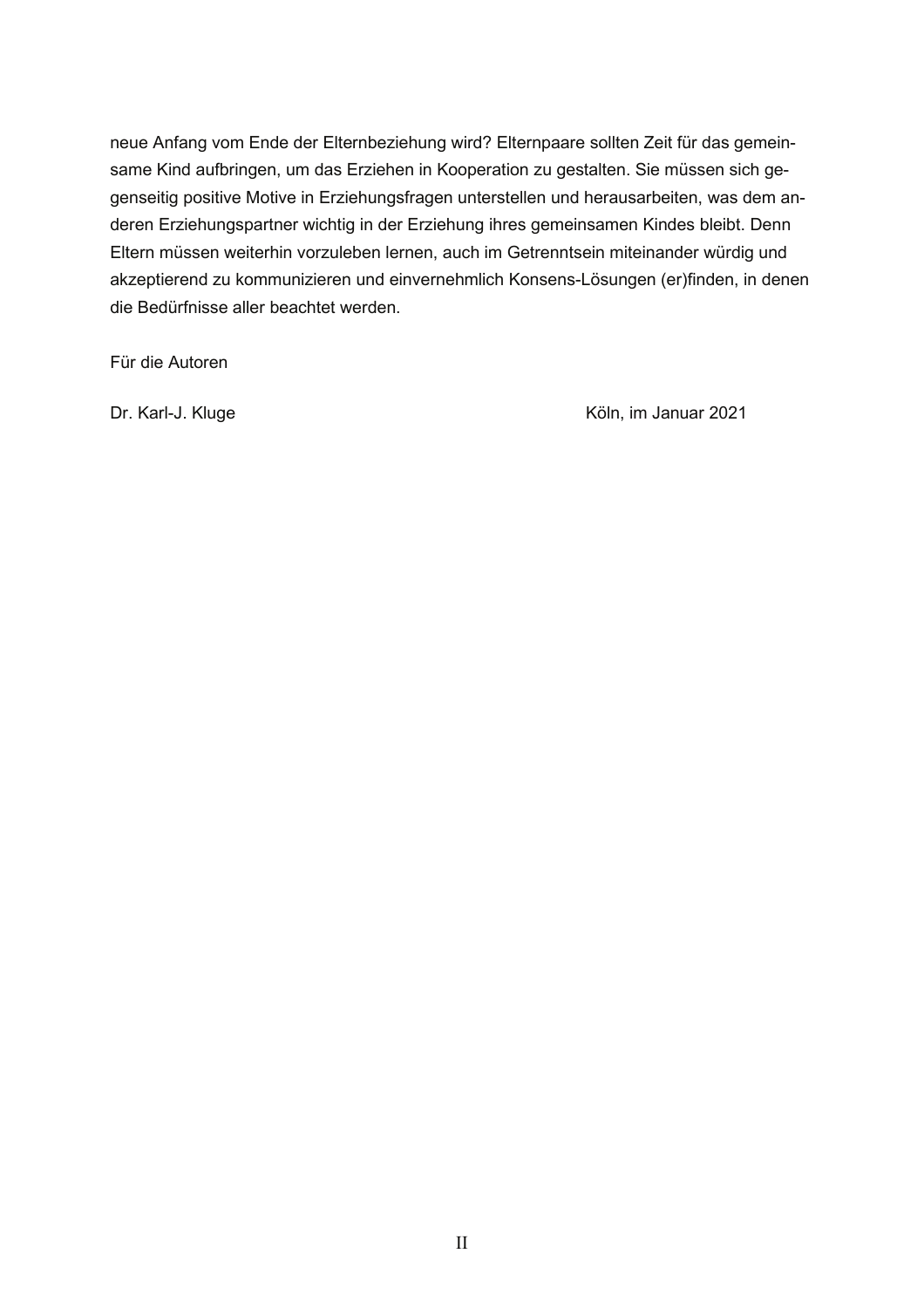neue Anfang vom Ende der Elternbeziehung wird? Elternpaare sollten Zeit für das gemeinsame Kind aufbringen, um das Erziehen in Kooperation zu gestalten. Sie müssen sich gegenseitig positive Motive in Erziehungsfragen unterstellen und herausarbeiten, was dem anderen Erziehungspartner wichtig in der Erziehung ihres gemeinsamen Kindes bleibt. Denn Eltern müssen weiterhin vorzuleben lernen, auch im Getrenntsein miteinander würdig und akzeptierend zu kommunizieren und einvernehmlich Konsens-Lösungen (er)finden, in denen die Bedürfnisse aller beachtet werden.

Für die Autoren

Dr. Karl-J. Kluge

Köln, im Januar 2021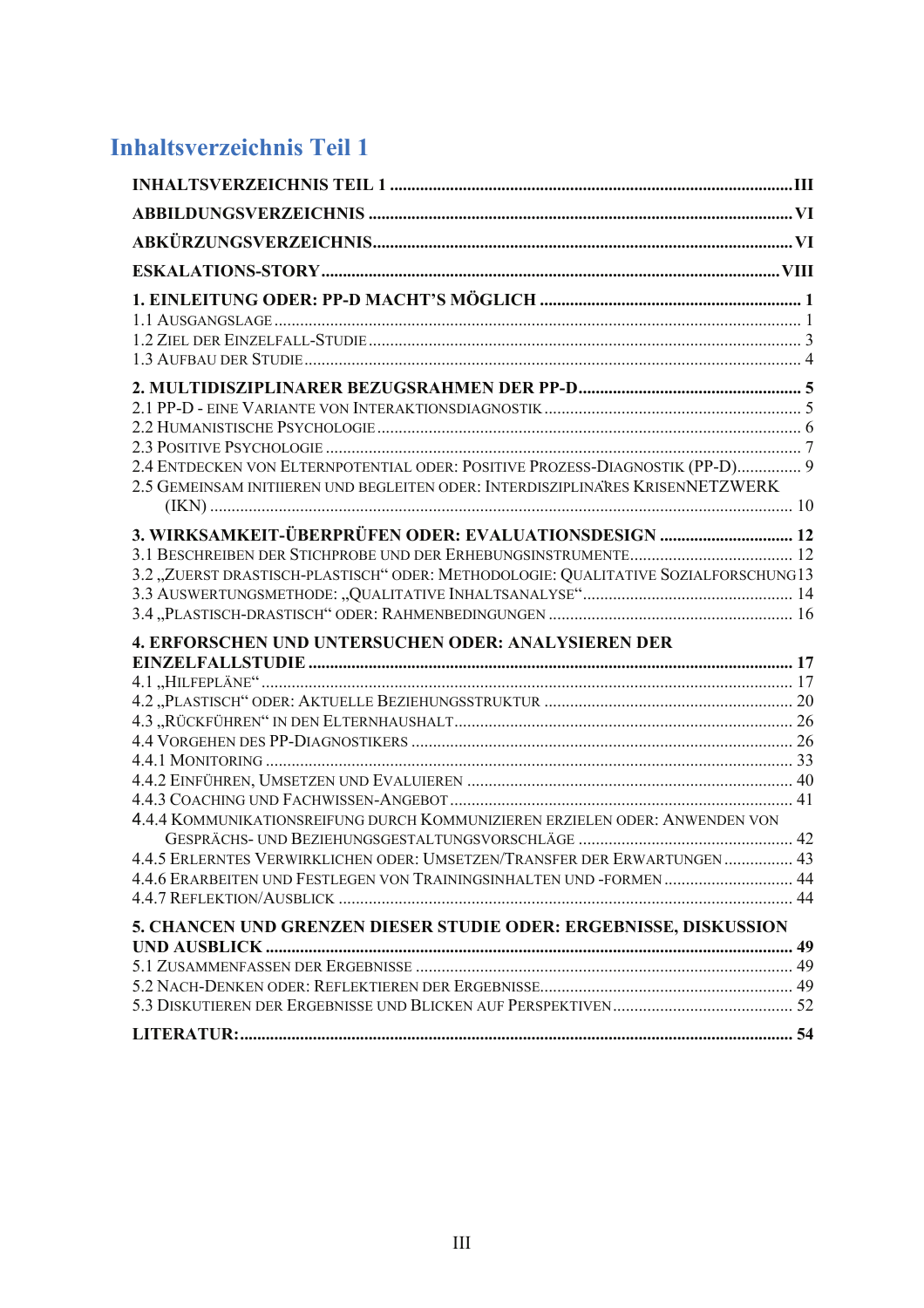# **Inhaltsverzeichnis Teil 1**

| 2.4 ENTDECKEN VON ELTERNPOTENTIAL ODER: POSITIVE PROZESS-DIAGNOSTIK (PP-D) 9<br>2.5 GEMEINSAM INITIIEREN UND BEGLEITEN ODER: INTERDISZIPLINARES KRISENNETZWERK |  |
|----------------------------------------------------------------------------------------------------------------------------------------------------------------|--|
| 3. WIRKSAMKEIT-ÜBERPRÜFEN ODER: EVALUATIONSDESIGN  12<br>3.2 "ZUERST DRASTISCH-PLASTISCH" ODER: METHODOLOGIE: QUALITATIVE SOZIALFORSCHUNG13                    |  |
| 4. ERFORSCHEN UND UNTERSUCHEN ODER: ANALYSIEREN DER                                                                                                            |  |
|                                                                                                                                                                |  |
|                                                                                                                                                                |  |
|                                                                                                                                                                |  |
|                                                                                                                                                                |  |
|                                                                                                                                                                |  |
| 4.4.4 KOMMUNIKATIONSREIFUNG DURCH KOMMUNIZIEREN ERZIELEN ODER: ANWENDEN VON                                                                                    |  |
| 4.4.5 ERLERNTES VERWIRKLICHEN ODER: UMSETZEN/TRANSFER DER ERWARTUNGEN 43                                                                                       |  |
| 4.4.6 ERARBEITEN UND FESTLEGEN VON TRAININGSINHALTEN UND -FORMEN  44                                                                                           |  |
|                                                                                                                                                                |  |
| 5. CHANCEN UND GRENZEN DIESER STUDIE ODER: ERGEBNISSE, DISKUSSION                                                                                              |  |
|                                                                                                                                                                |  |
|                                                                                                                                                                |  |
|                                                                                                                                                                |  |
|                                                                                                                                                                |  |
|                                                                                                                                                                |  |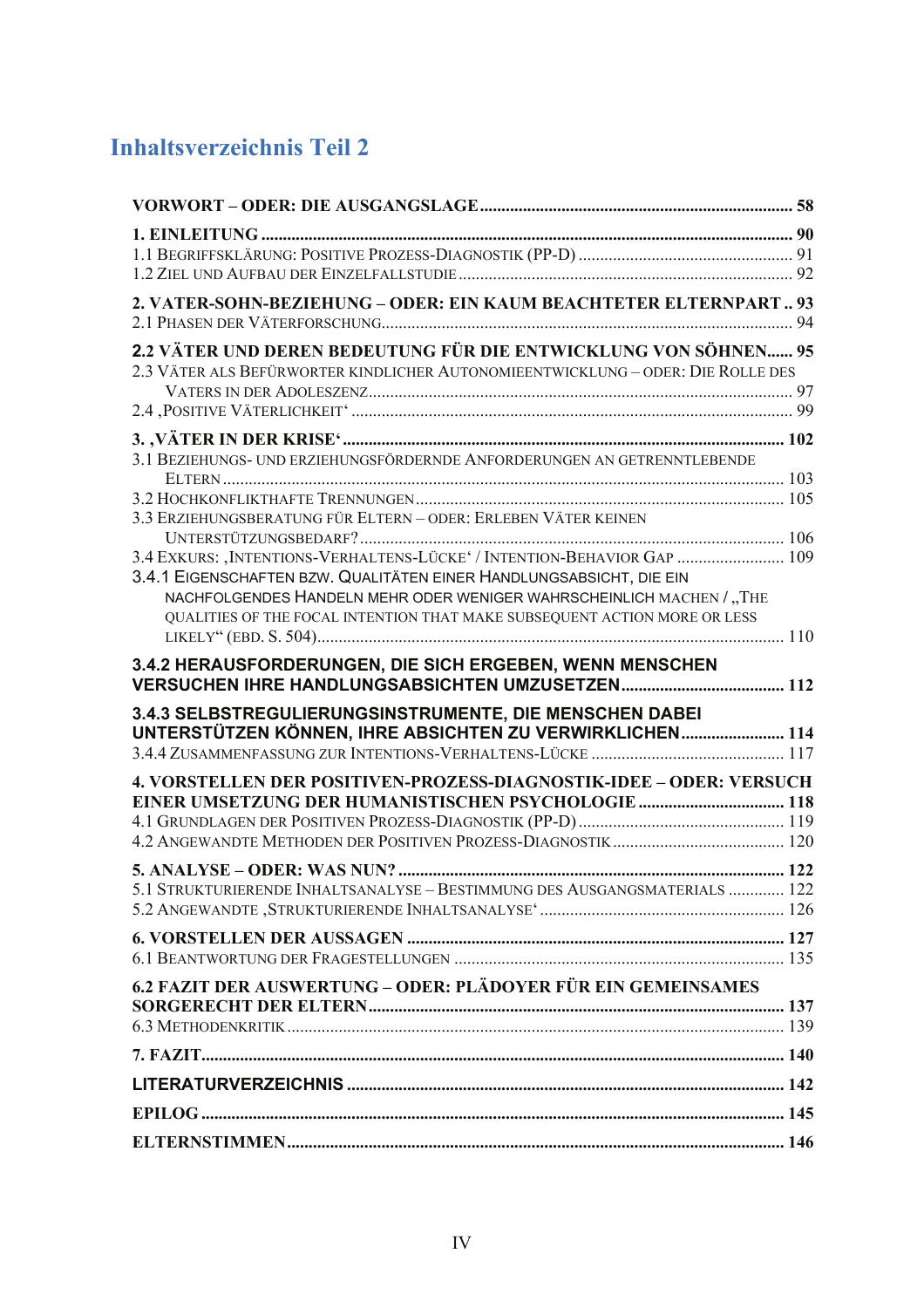# **Inhaltsverzeichnis Teil 2**

| 2. VATER-SOHN-BEZIEHUNG - ODER: EIN KAUM BEACHTETER ELTERNPART 93               |  |
|---------------------------------------------------------------------------------|--|
| 2.2 VÄTER UND DEREN BEDEUTUNG FÜR DIE ENTWICKLUNG VON SÖHNEN 95                 |  |
| 2.3 VÄTER ALS BEFÜRWORTER KINDLICHER AUTONOMIEENTWICKLUNG - ODER: DIE ROLLE DES |  |
|                                                                                 |  |
|                                                                                 |  |
| 3.1 BEZIEHUNGS- UND ERZIEHUNGSFÖRDERNDE ANFORDERUNGEN AN GETRENNTLEBENDE        |  |
|                                                                                 |  |
|                                                                                 |  |
| 3.3 ERZIEHUNGSBERATUNG FÜR ELTERN - ODER: ERLEBEN VÄTER KEINEN                  |  |
| 3.4 EXKURS: , INTENTIONS-VERHALTENS-LÜCKE' / INTENTION-BEHAVIOR GAP  109        |  |
| 3.4.1 EIGENSCHAFTEN BZW. QUALITÄTEN EINER HANDLUNGSABSICHT, DIE EIN             |  |
| NACHFOLGENDES HANDELN MEHR ODER WENIGER WAHRSCHEINLICH MACHEN / "THE            |  |
| QUALITIES OF THE FOCAL INTENTION THAT MAKE SUBSEQUENT ACTION MORE OR LESS       |  |
|                                                                                 |  |
| 3.4.2 HERAUSFORDERUNGEN, DIE SICH ERGEBEN, WENN MENSCHEN                        |  |
| 3.4.3 SELBSTREGULIERUNGSINSTRUMENTE, DIE MENSCHEN DABEI                         |  |
| UNTERSTÜTZEN KÖNNEN, IHRE ABSICHTEN ZU VERWIRKLICHEN 114                        |  |
|                                                                                 |  |
| 4. VORSTELLEN DER POSITIVEN-PROZESS-DIAGNOSTIK-IDEE - ODER: VERSUCH             |  |
|                                                                                 |  |
|                                                                                 |  |
|                                                                                 |  |
| 5.1 STRUKTURIERENDE INHALTSANALYSE - BESTIMMUNG DES AUSGANGSMATERIALS  122      |  |
|                                                                                 |  |
|                                                                                 |  |
|                                                                                 |  |
| 6.2 FAZIT DER AUSWERTUNG - ODER: PLÄDOYER FÜR EIN GEMEINSAMES                   |  |
|                                                                                 |  |
|                                                                                 |  |
|                                                                                 |  |
|                                                                                 |  |
|                                                                                 |  |
|                                                                                 |  |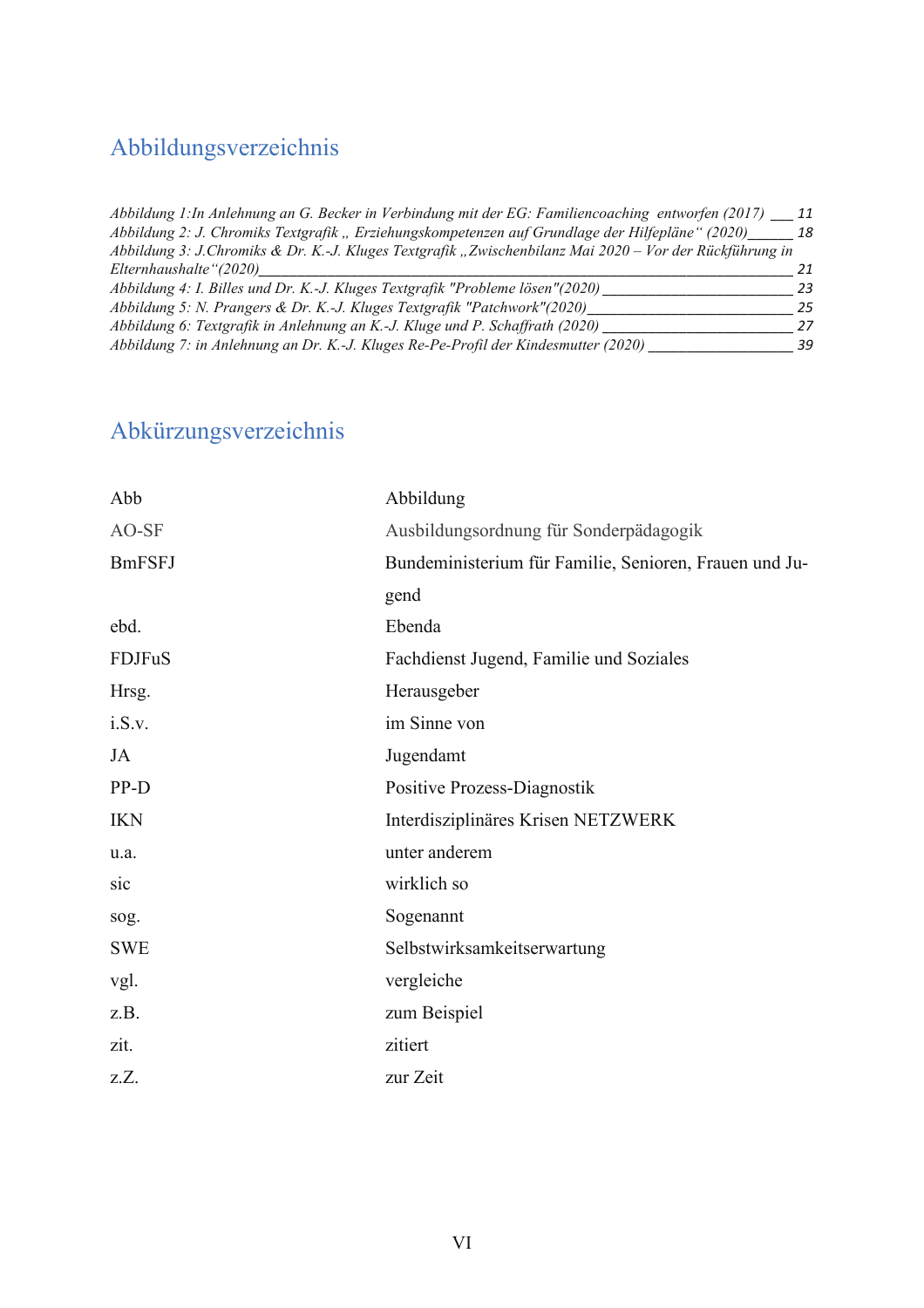# Abbildungsverzeichnis

| Abbildung 1:In Anlehnung an G. Becker in Verbindung mit der EG: Familiencoaching entworfen (2017)       | - 11 |
|---------------------------------------------------------------------------------------------------------|------|
| Abbildung 2: J. Chromiks Textgrafik "Erziehungskompetenzen auf Grundlage der Hilfepläne" (2020)         | -18  |
| Abbildung 3: J.Chromiks & Dr. K.-J. Kluges Textgrafik "Zwischenbilanz Mai 2020 – Vor der Rückführung in |      |
| Elternhaushalte "(2020)                                                                                 | 21   |
| Abbildung 4: I. Billes und Dr. K.-J. Kluges Textgrafik "Probleme lösen"(2020)                           | 23   |
| Abbildung 5: N. Prangers & Dr. K.-J. Kluges Textgrafik "Patchwork"(2020)                                | 25   |
| Abbildung 6: Textgrafik in Anlehnung an K.-J. Kluge und P. Schaffrath (2020)                            | 27   |
| Abbildung 7: in Anlehnung an Dr. K.-J. Kluges Re-Pe-Profil der Kindesmutter (2020)                      | 39   |
|                                                                                                         |      |

# Abkürzungsverzeichnis

| Abb           | Abbildung                                              |
|---------------|--------------------------------------------------------|
| AO-SF         | Ausbildungsordnung für Sonderpädagogik                 |
| <b>BmFSFJ</b> | Bundeministerium für Familie, Senioren, Frauen und Ju- |
|               | gend                                                   |
| ebd.          | Ebenda                                                 |
| <b>FDJFuS</b> | Fachdienst Jugend, Familie und Soziales                |
| Hrsg.         | Herausgeber                                            |
| i.S.v.        | im Sinne von                                           |
| JA            | Jugendamt                                              |
| PP-D          | Positive Prozess-Diagnostik                            |
| <b>IKN</b>    | Interdisziplinäres Krisen NETZWERK                     |
| u.a.          | unter anderem                                          |
| sic           | wirklich so                                            |
| sog.          | Sogenannt                                              |
| <b>SWE</b>    | Selbstwirksamkeitserwartung                            |
| vgl.          | vergleiche                                             |
| z.B.          | zum Beispiel                                           |
| zit.          | zitiert                                                |
| z.Z.          | zur Zeit                                               |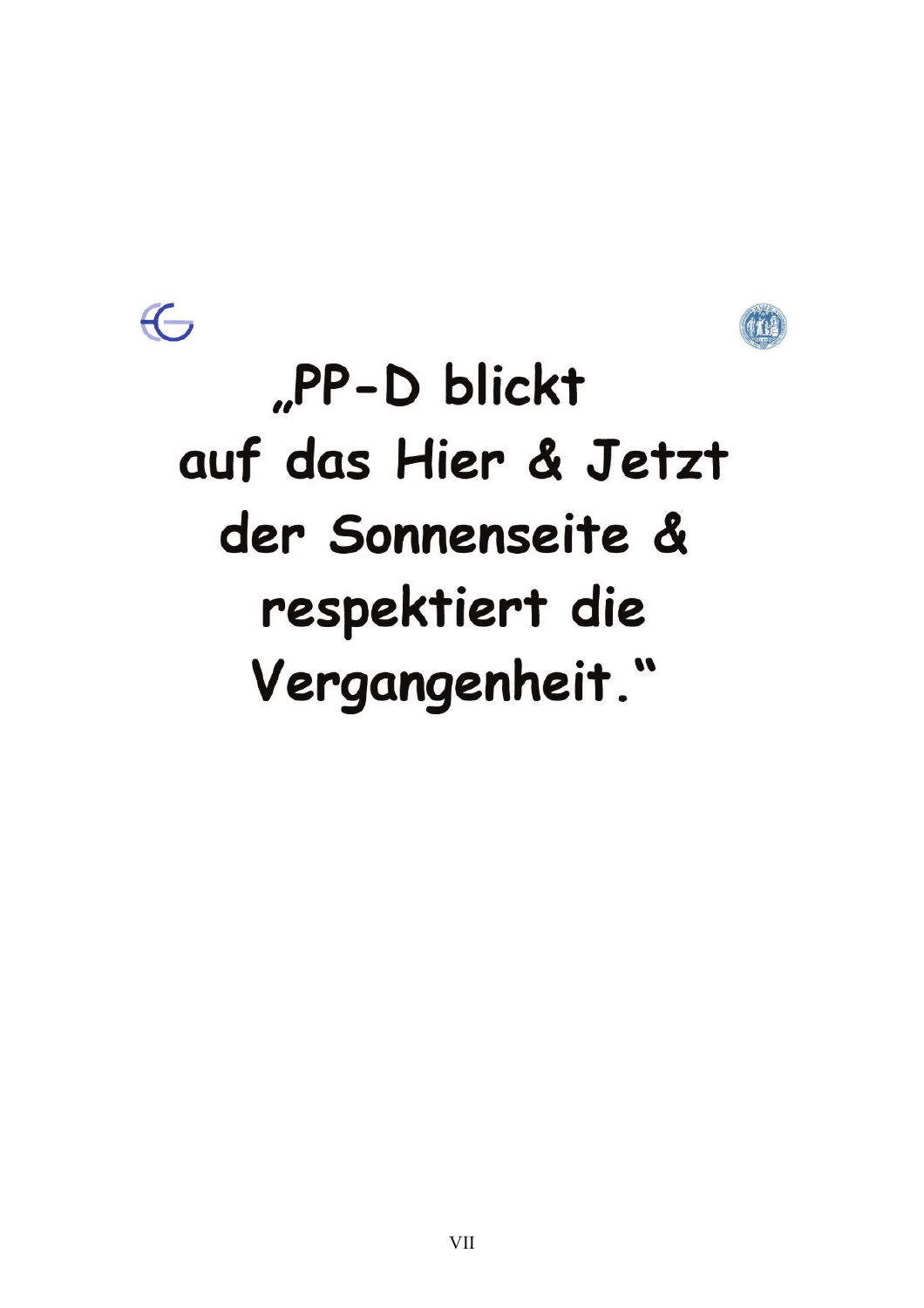# $\bigoplus$ "PP-D blickt auf das Hier & Jetzt der Sonnenseite & respektiert die Vergangenheit."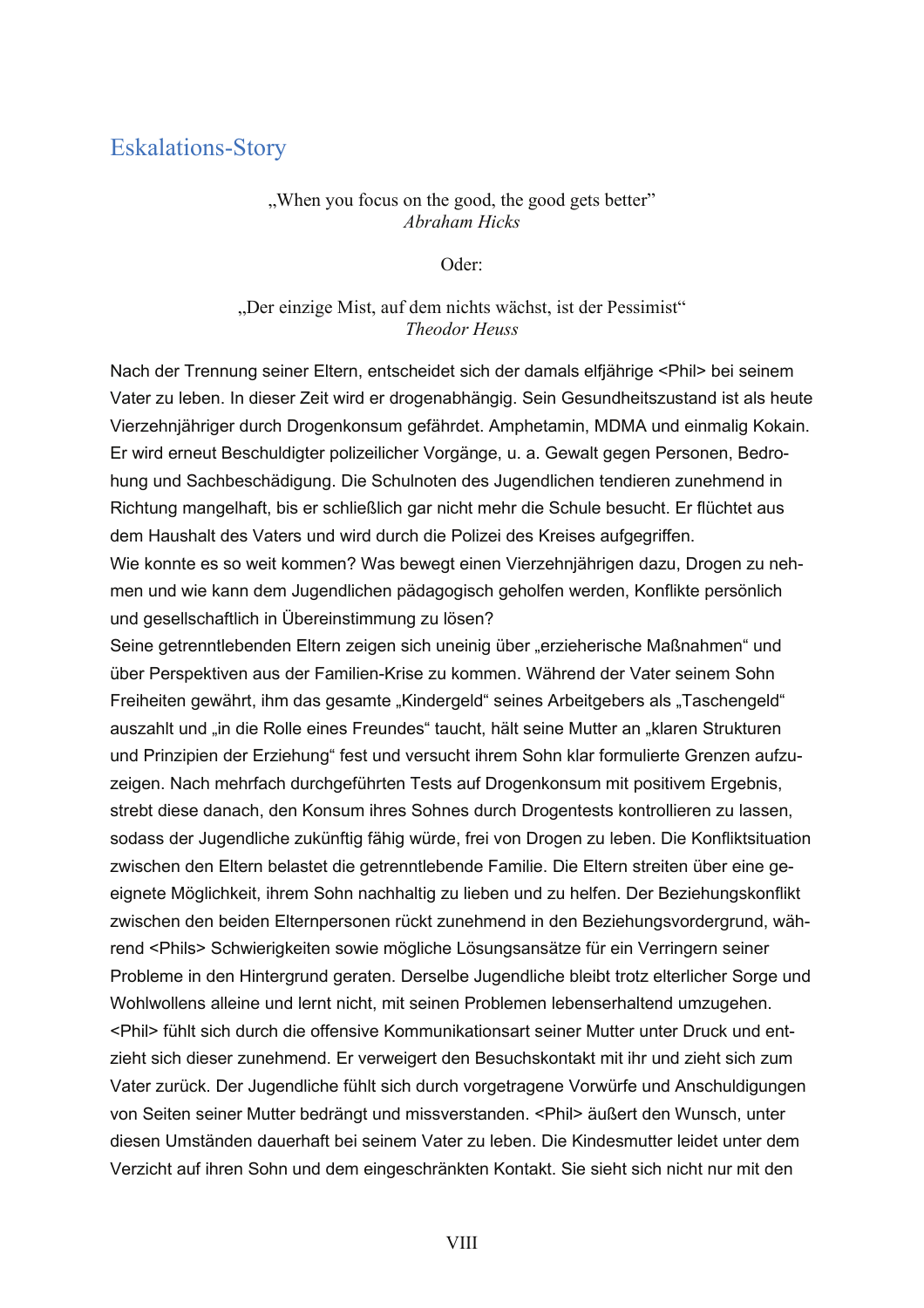## **Eskalations-Story**

## "When you focus on the good, the good gets better" **Abraham Hicks**

#### Oder:

## "Der einzige Mist, auf dem nichts wächst, ist der Pessimist" **Theodor Heuss**

Nach der Trennung seiner Eltern, entscheidet sich der damals elfjährige <Phil> bei seinem Vater zu leben. In dieser Zeit wird er drogenabhängig. Sein Gesundheitszustand ist als heute Vierzehniähriger durch Drogenkonsum gefährdet. Amphetamin, MDMA und einmalig Kokain. Er wird erneut Beschuldigter polizeilicher Vorgänge, u. a. Gewalt gegen Personen, Bedrohung und Sachbeschädigung. Die Schulnoten des Jugendlichen tendieren zunehmend in Richtung mangelhaft, bis er schließlich gar nicht mehr die Schule besucht. Er flüchtet aus dem Haushalt des Vaters und wird durch die Polizei des Kreises aufgegriffen.

Wie konnte es so weit kommen? Was bewegt einen Vierzehnjährigen dazu, Drogen zu nehmen und wie kann dem Jugendlichen pädagogisch geholfen werden, Konflikte persönlich und gesellschaftlich in Übereinstimmung zu lösen?

Seine getrenntlebenden Eltern zeigen sich uneinig über "erzieherische Maßnahmen" und über Perspektiven aus der Familien-Krise zu kommen. Während der Vater seinem Sohn Freiheiten gewährt, ihm das gesamte "Kindergeld" seines Arbeitgebers als "Taschengeld" auszahlt und "in die Rolle eines Freundes" taucht, hält seine Mutter an "klaren Strukturen und Prinzipien der Erziehung" fest und versucht ihrem Sohn klar formulierte Grenzen aufzuzeigen. Nach mehrfach durchgeführten Tests auf Drogenkonsum mit positivem Ergebnis, strebt diese danach, den Konsum ihres Sohnes durch Drogentests kontrollieren zu lassen. sodass der Jugendliche zukünftig fähig würde, frei von Drogen zu leben. Die Konfliktsituation zwischen den Eltern belastet die getrenntlebende Familie. Die Eltern streiten über eine geeignete Möglichkeit, ihrem Sohn nachhaltig zu lieben und zu helfen. Der Beziehungskonflikt zwischen den beiden Elternpersonen rückt zunehmend in den Beziehungsvordergrund, während <Phils> Schwierigkeiten sowie mögliche Lösungsansätze für ein Verringern seiner Probleme in den Hintergrund geraten. Derselbe Jugendliche bleibt trotz elterlicher Sorge und Wohlwollens alleine und lernt nicht, mit seinen Problemen lebenserhaltend umzugehen. <Phil> fühlt sich durch die offensive Kommunikationsart seiner Mutter unter Druck und entzieht sich dieser zunehmend. Er verweigert den Besuchskontakt mit ihr und zieht sich zum Vater zurück. Der Jugendliche fühlt sich durch vorgetragene Vorwürfe und Anschuldigungen von Seiten seiner Mutter bedrängt und missverstanden. <Phil> äußert den Wunsch, unter diesen Umständen dauerhaft bei seinem Vater zu leben. Die Kindesmutter leidet unter dem Verzicht auf ihren Sohn und dem eingeschränkten Kontakt. Sie sieht sich nicht nur mit den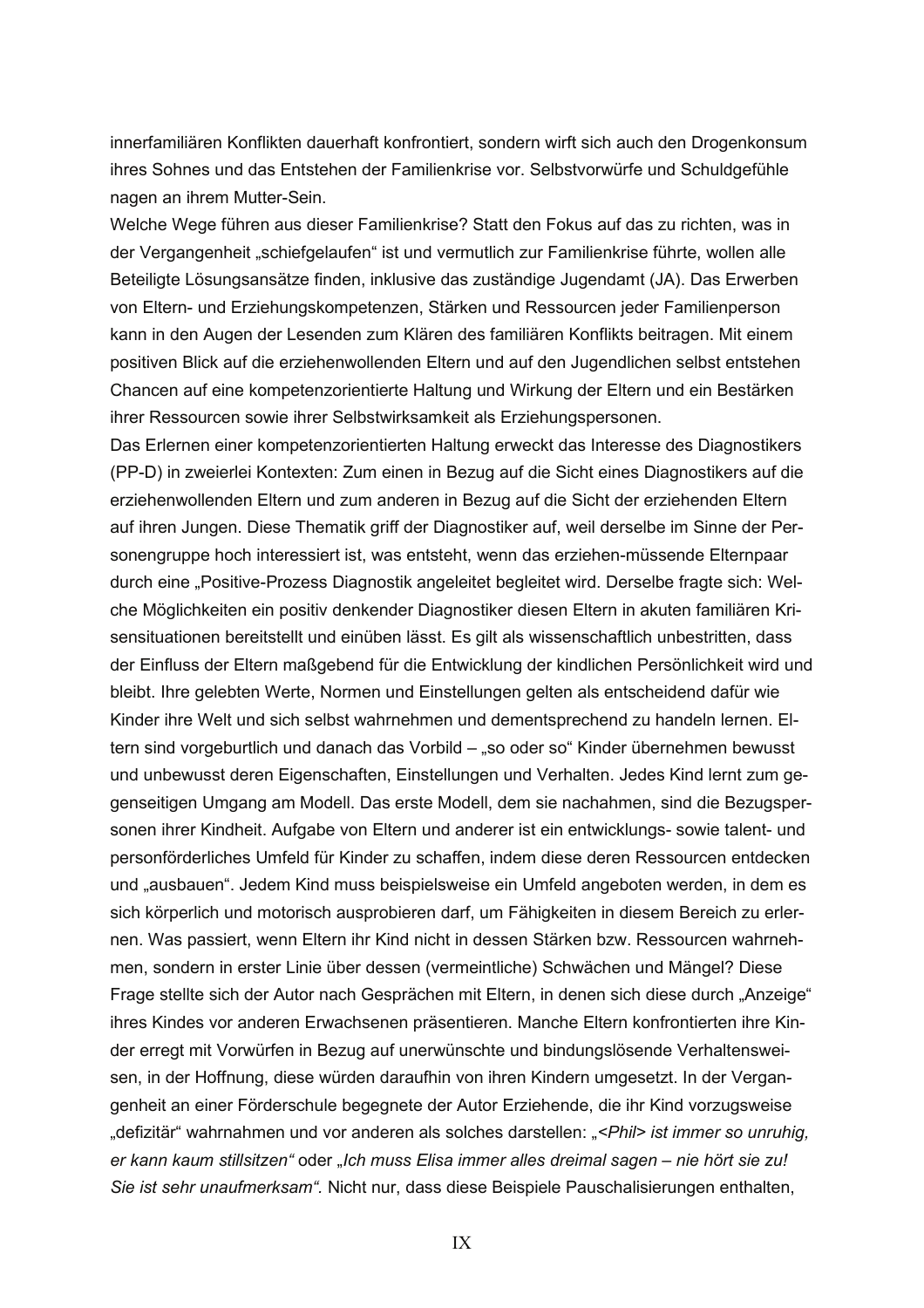innerfamiliären Konflikten dauerhaft konfrontiert, sondern wirft sich auch den Drogenkonsum ihres Sohnes und das Entstehen der Familienkrise vor. Selbstvorwürfe und Schuldgefühle nagen an ihrem Mutter-Sein.

Welche Wege führen aus dieser Familienkrise? Statt den Fokus auf das zu richten, was in der Vergangenheit "schiefgelaufen" ist und vermutlich zur Familienkrise führte, wollen alle Beteiligte Lösungsansätze finden, inklusive das zuständige Jugendamt (JA). Das Erwerben von Eltern- und Erziehungskompetenzen, Stärken und Ressourcen jeder Familienperson kann in den Augen der Lesenden zum Klären des familiären Konflikts beitragen. Mit einem positiven Blick auf die erziehenwollenden Eltern und auf den Jugendlichen selbst entstehen Chancen auf eine kompetenzorientierte Haltung und Wirkung der Eltern und ein Bestärken ihrer Ressourcen sowie ihrer Selbstwirksamkeit als Erziehungspersonen.

Das Erlernen einer kompetenzorientierten Haltung erweckt das Interesse des Diagnostikers (PP-D) in zweierlei Kontexten: Zum einen in Bezug auf die Sicht eines Diagnostikers auf die erziehenwollenden Eltern und zum anderen in Bezug auf die Sicht der erziehenden Eltern auf ihren Jungen. Diese Thematik griff der Diagnostiker auf, weil derselbe im Sinne der Personengruppe hoch interessiert ist, was entsteht, wenn das erziehen-müssende Elternpaar durch eine "Positive-Prozess Diagnostik angeleitet begleitet wird. Derselbe fragte sich: Welche Möglichkeiten ein positiv denkender Diagnostiker diesen Eltern in akuten familiären Krisensituationen bereitstellt und einüben lässt. Es gilt als wissenschaftlich unbestritten, dass der Einfluss der Eltern maßgebend für die Entwicklung der kindlichen Persönlichkeit wird und bleibt. Ihre gelebten Werte, Normen und Einstellungen gelten als entscheidend dafür wie Kinder ihre Welt und sich selbst wahrnehmen und dementsprechend zu handeln lernen. Eltern sind vorgeburtlich und danach das Vorbild – "so oder so" Kinder übernehmen bewusst und unbewusst deren Eigenschaften, Einstellungen und Verhalten. Jedes Kind lernt zum gegenseitigen Umgang am Modell. Das erste Modell, dem sie nachahmen, sind die Bezugspersonen ihrer Kindheit. Aufgabe von Eltern und anderer ist ein entwicklungs- sowie talent- und personförderliches Umfeld für Kinder zu schaffen, indem diese deren Ressourcen entdecken und "ausbauen". Jedem Kind muss beispielsweise ein Umfeld angeboten werden, in dem es sich körperlich und motorisch ausprobieren darf, um Fähigkeiten in diesem Bereich zu erlernen. Was passiert, wenn Eltern ihr Kind nicht in dessen Stärken bzw. Ressourcen wahrnehmen, sondern in erster Linie über dessen (vermeintliche) Schwächen und Mängel? Diese Frage stellte sich der Autor nach Gesprächen mit Eltern, in denen sich diese durch "Anzeige" ihres Kindes vor anderen Erwachsenen präsentieren. Manche Eltern konfrontierten ihre Kinder erregt mit Vorwürfen in Bezug auf unerwünschte und bindungslösende Verhaltensweisen, in der Hoffnung, diese würden daraufhin von ihren Kindern umgesetzt. In der Vergangenheit an einer Förderschule begegnete der Autor Erziehende, die ihr Kind vorzugsweise "defizitär" wahrnahmen und vor anderen als solches darstellen: "<Phil> ist immer so unruhig, er kann kaum stillsitzen" oder "Ich muss Elisa immer alles dreimal sagen – nie hört sie zu! Sie ist sehr unaufmerksam". Nicht nur, dass diese Beispiele Pauschalisierungen enthalten,

IX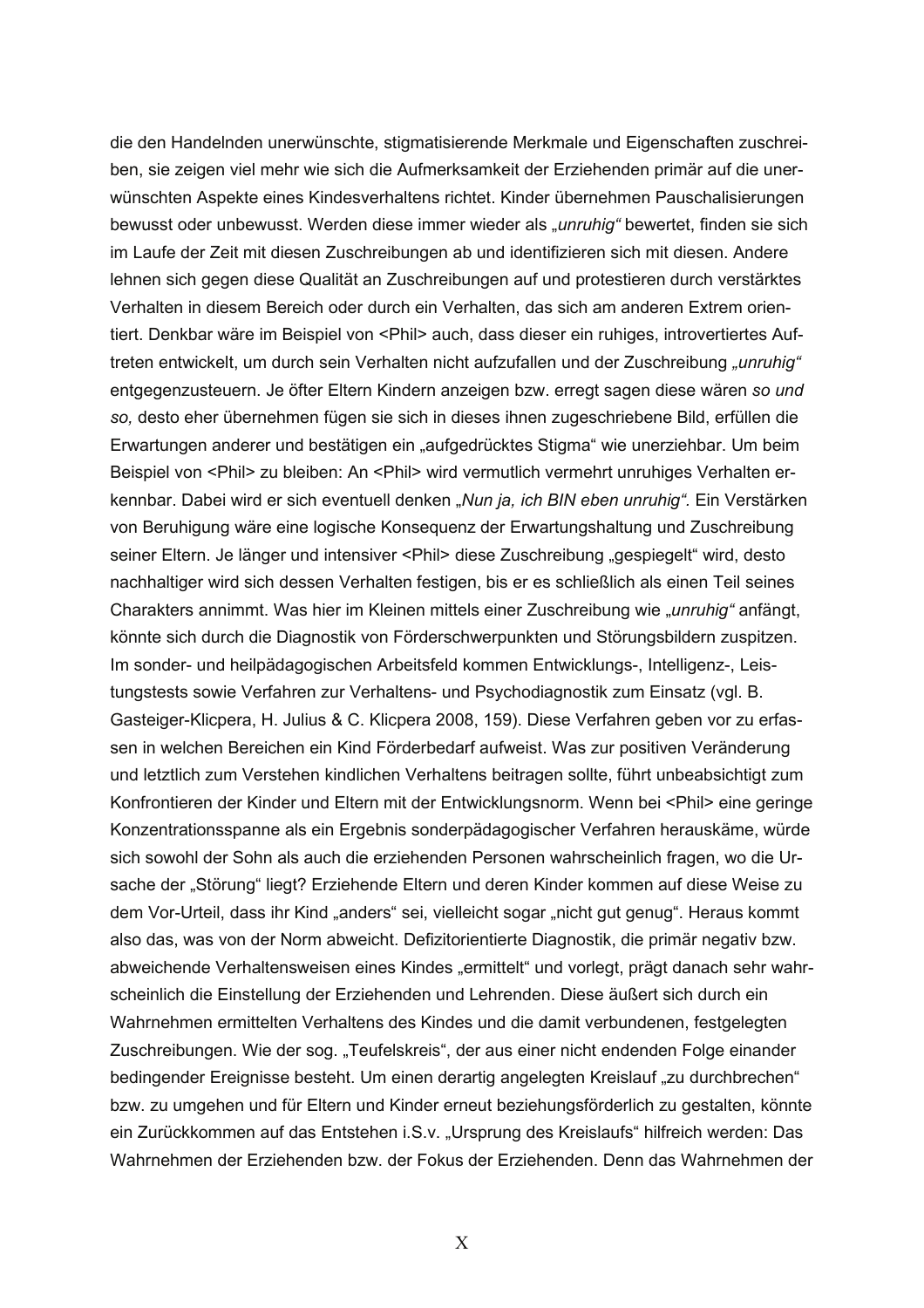die den Handelnden unerwünschte, stigmatisierende Merkmale und Eigenschaften zuschreiben, sie zeigen viel mehr wie sich die Aufmerksamkeit der Erziehenden primär auf die unerwünschten Aspekte eines Kindesverhaltens richtet. Kinder übernehmen Pauschalisierungen bewusst oder unbewusst. Werden diese immer wieder als "unruhig" bewertet, finden sie sich im Laufe der Zeit mit diesen Zuschreibungen ab und identifizieren sich mit diesen. Andere lehnen sich gegen diese Qualität an Zuschreibungen auf und protestieren durch verstärktes Verhalten in diesem Bereich oder durch ein Verhalten, das sich am anderen Extrem orientiert. Denkbar wäre im Beispiel von <Phil> auch, dass dieser ein ruhiges, introvertiertes Auftreten entwickelt, um durch sein Verhalten nicht aufzufallen und der Zuschreibung "unruhig" entgegenzusteuern. Je öfter Eltern Kindern anzeigen bzw. erregt sagen diese wären so und so, desto eher übernehmen fügen sie sich in dieses ihnen zugeschriebene Bild, erfüllen die Erwartungen anderer und bestätigen ein "aufgedrücktes Stigma" wie unerziehbar. Um beim Beispiel von <Phil> zu bleiben: An <Phil> wird vermutlich vermehrt unruhiges Verhalten erkennbar. Dabei wird er sich eventuell denken "Nun ja, ich BIN eben unruhig". Ein Verstärken von Beruhigung wäre eine logische Konseguenz der Erwartungshaltung und Zuschreibung seiner Eltern. Je länger und intensiver <Phil> diese Zuschreibung "gespiegelt" wird, desto nachhaltiger wird sich dessen Verhalten festigen, bis er es schließlich als einen Teil seines Charakters annimmt. Was hier im Kleinen mittels einer Zuschreibung wie "unruhig" anfängt, könnte sich durch die Diagnostik von Förderschwerpunkten und Störungsbildern zuspitzen. Im sonder- und heilpädagogischen Arbeitsfeld kommen Entwicklungs-, Intelligenz-, Leistungstests sowie Verfahren zur Verhaltens- und Psychodiagnostik zum Einsatz (vgl. B. Gasteiger-Klicpera, H. Julius & C. Klicpera 2008, 159). Diese Verfahren geben vor zu erfassen in welchen Bereichen ein Kind Förderbedarf aufweist. Was zur positiven Veränderung und letztlich zum Verstehen kindlichen Verhaltens beitragen sollte, führt unbeabsichtigt zum Konfrontieren der Kinder und Eltern mit der Entwicklungsnorm. Wenn bei <Phil> eine geringe Konzentrationsspanne als ein Ergebnis sonderpädagogischer Verfahren herauskäme, würde sich sowohl der Sohn als auch die erziehenden Personen wahrscheinlich fragen, wo die Ursache der "Störung" liegt? Erziehende Eltern und deren Kinder kommen auf diese Weise zu dem Vor-Urteil, dass ihr Kind "anders" sei, vielleicht sogar "nicht gut genug". Heraus kommt also das, was von der Norm abweicht. Defizitorientierte Diagnostik, die primär negativ bzw. abweichende Verhaltensweisen eines Kindes "ermittelt" und vorlegt, prägt danach sehr wahrscheinlich die Einstellung der Erziehenden und Lehrenden. Diese äußert sich durch ein Wahrnehmen ermittelten Verhaltens des Kindes und die damit verbundenen, festgelegten Zuschreibungen. Wie der sog. "Teufelskreis", der aus einer nicht endenden Folge einander bedingender Ereignisse besteht. Um einen derartig angelegten Kreislauf "zu durchbrechen" bzw. zu umgehen und für Eltern und Kinder erneut beziehungsförderlich zu gestalten, könnte ein Zurückkommen auf das Entstehen i.S.v. "Ursprung des Kreislaufs" hilfreich werden: Das Wahrnehmen der Erziehenden bzw. der Fokus der Erziehenden. Denn das Wahrnehmen der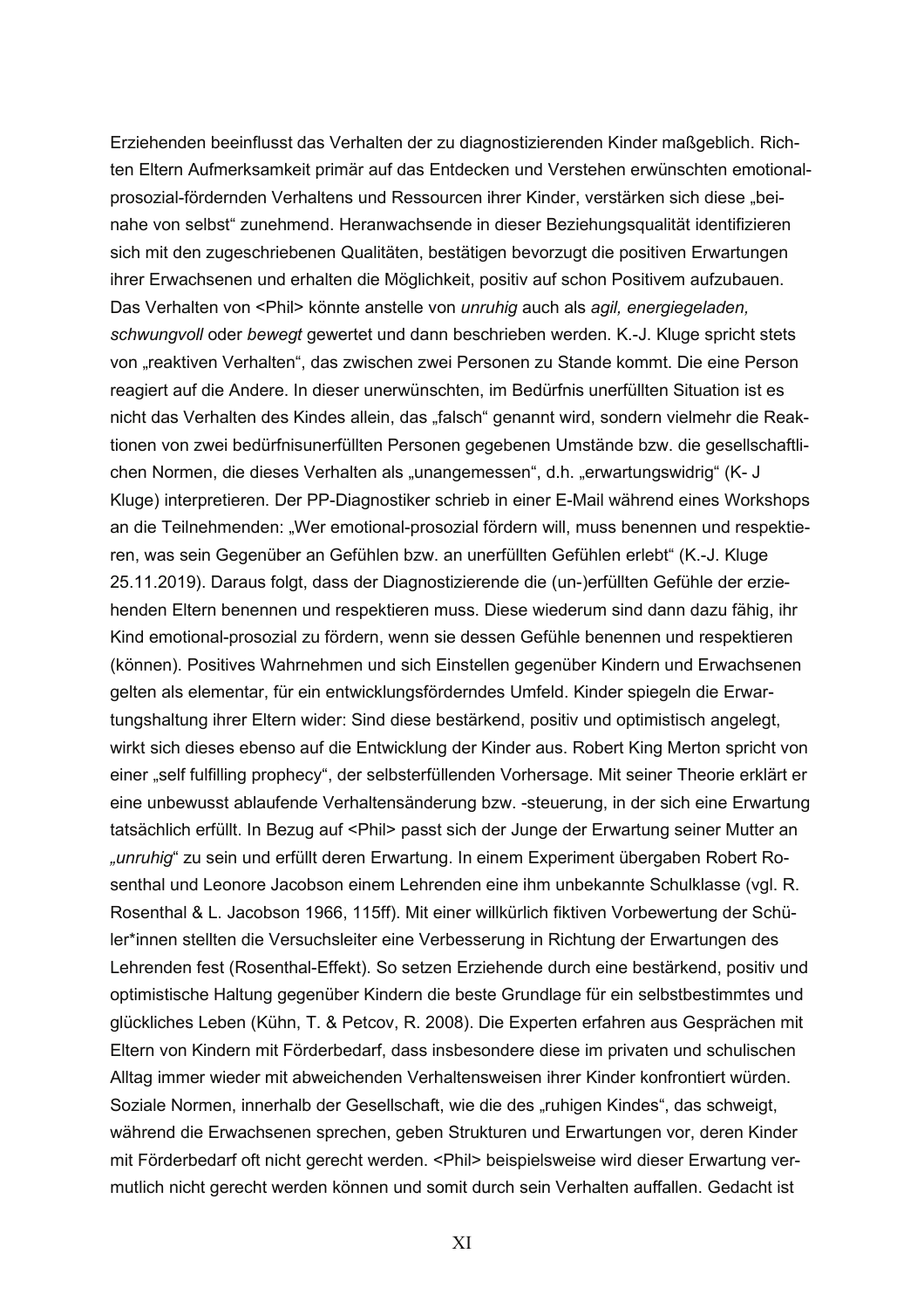Erziehenden beeinflusst das Verhalten der zu diagnostizierenden Kinder maßgeblich. Richten Eltern Aufmerksamkeit primär auf das Entdecken und Verstehen erwünschten emotionalprosozial-fördernden Verhaltens und Ressourcen ihrer Kinder, verstärken sich diese "beinahe von selbst" zunehmend. Heranwachsende in dieser Beziehungsqualität identifizieren sich mit den zugeschriebenen Qualitäten, bestätigen bevorzugt die positiven Erwartungen ihrer Erwachsenen und erhalten die Möglichkeit, positiv auf schon Positivem aufzubauen. Das Verhalten von <Phil> könnte anstelle von unruhig auch als agil, energiegeladen, schwungvoll oder bewegt gewertet und dann beschrieben werden. K.-J. Kluge spricht stets von "reaktiven Verhalten", das zwischen zwei Personen zu Stande kommt. Die eine Person reagiert auf die Andere. In dieser unerwünschten, im Bedürfnis unerfüllten Situation ist es nicht das Verhalten des Kindes allein, das "falsch" genannt wird, sondern vielmehr die Reaktionen von zwei bedürfnisunerfüllten Personen gegebenen Umstände bzw. die gesellschaftlichen Normen, die dieses Verhalten als "unangemessen", d.h. "erwartungswidrig" (K- J Kluge) interpretieren. Der PP-Diagnostiker schrieb in einer E-Mail während eines Workshops an die Teilnehmenden: "Wer emotional-prosozial fördern will, muss benennen und respektieren, was sein Gegenüber an Gefühlen bzw. an unerfüllten Gefühlen erlebt" (K.-J. Kluge 25.11.2019). Daraus folgt, dass der Diagnostizierende die (un-)erfüllten Gefühle der erziehenden Eltern benennen und respektieren muss. Diese wiederum sind dann dazu fähig, ihr Kind emotional-prosozial zu fördern, wenn sie dessen Gefühle benennen und respektieren (können). Positives Wahrnehmen und sich Einstellen gegenüber Kindern und Erwachsenen gelten als elementar, für ein entwicklungsförderndes Umfeld. Kinder spiegeln die Erwartungshaltung ihrer Eltern wider: Sind diese bestärkend, positiv und optimistisch angelegt, wirkt sich dieses ebenso auf die Entwicklung der Kinder aus. Robert King Merton spricht von einer "self fulfilling prophecy", der selbsterfüllenden Vorhersage. Mit seiner Theorie erklärt er eine unbewusst ablaufende Verhaltensänderung bzw. -steuerung, in der sich eine Erwartung tatsächlich erfüllt. In Bezug auf <Phil> passt sich der Junge der Erwartung seiner Mutter an "unruhig" zu sein und erfüllt deren Erwartung. In einem Experiment übergaben Robert Rosenthal und Leonore Jacobson einem Lehrenden eine ihm unbekannte Schulklasse (vgl. R. Rosenthal & L. Jacobson 1966, 115ff). Mit einer willkürlich fiktiven Vorbewertung der Schüler\*innen stellten die Versuchsleiter eine Verbesserung in Richtung der Erwartungen des Lehrenden fest (Rosenthal-Effekt). So setzen Erziehende durch eine bestärkend, positiv und optimistische Haltung gegenüber Kindern die beste Grundlage für ein selbstbestimmtes und glückliches Leben (Kühn, T. & Petcov, R. 2008). Die Experten erfahren aus Gesprächen mit Eltern von Kindern mit Förderbedarf, dass insbesondere diese im privaten und schulischen Alltag immer wieder mit abweichenden Verhaltensweisen ihrer Kinder konfrontiert würden. Soziale Normen, innerhalb der Gesellschaft, wie die des "ruhigen Kindes", das schweigt, während die Erwachsenen sprechen, geben Strukturen und Erwartungen vor, deren Kinder mit Förderbedarf oft nicht gerecht werden. <Phil> beispielsweise wird dieser Erwartung vermutlich nicht gerecht werden können und somit durch sein Verhalten auffallen. Gedacht ist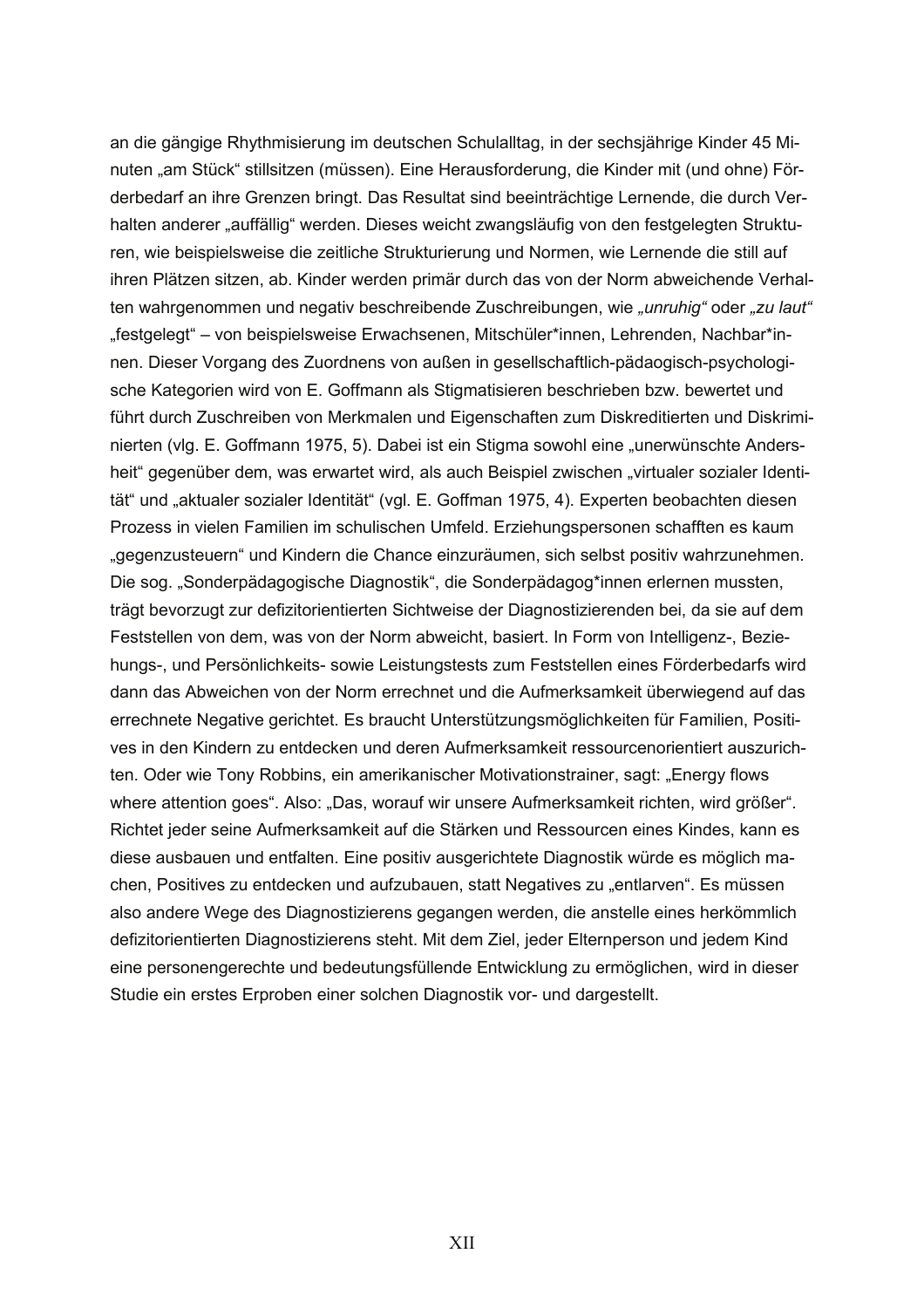an die gängige Rhythmisierung im deutschen Schulalltag, in der sechsjährige Kinder 45 Minuten "am Stück" stillsitzen (müssen). Eine Herausforderung, die Kinder mit (und ohne) Förderbedarf an ihre Grenzen bringt. Das Resultat sind beeinträchtige Lernende, die durch Verhalten anderer "auffällig" werden. Dieses weicht zwangsläufig von den festgelegten Strukturen, wie beispielsweise die zeitliche Strukturierung und Normen, wie Lernende die still auf ihren Plätzen sitzen, ab. Kinder werden primär durch das von der Norm abweichende Verhalten wahrgenommen und negativ beschreibende Zuschreibungen, wie "unruhig" oder "zu laut" "festgelegt" – von beispielsweise Erwachsenen, Mitschüler\*innen, Lehrenden, Nachbar\*innen. Dieser Vorgang des Zuordnens von außen in gesellschaftlich-pädaogisch-psychologische Kategorien wird von E. Goffmann als Stigmatisieren beschrieben bzw. bewertet und führt durch Zuschreiben von Merkmalen und Eigenschaften zum Diskreditierten und Diskriminierten (vlg. E. Goffmann 1975, 5). Dabei ist ein Stigma sowohl eine "unerwünschte Andersheit" gegenüber dem, was erwartet wird, als auch Beispiel zwischen "virtualer sozialer Identität" und "aktualer sozialer Identität" (vgl. E. Goffman 1975, 4). Experten beobachten diesen Prozess in vielen Familien im schulischen Umfeld. Erziehungspersonen schafften es kaum "gegenzusteuern" und Kindern die Chance einzuräumen, sich selbst positiv wahrzunehmen. Die sog. "Sonderpädagogische Diagnostik", die Sonderpädagog\*innen erlernen mussten, trägt bevorzugt zur defizitorientierten Sichtweise der Diagnostizierenden bei, da sie auf dem Feststellen von dem, was von der Norm abweicht, basiert. In Form von Intelligenz-, Beziehungs-, und Persönlichkeits- sowie Leistungstests zum Feststellen eines Förderbedarfs wird dann das Abweichen von der Norm errechnet und die Aufmerksamkeit überwiegend auf das errechnete Negative gerichtet. Es braucht Unterstützungsmöglichkeiten für Familien, Positives in den Kindern zu entdecken und deren Aufmerksamkeit ressourcenorientiert auszurichten. Oder wie Tony Robbins, ein amerikanischer Motivationstrainer, sagt: "Energy flows where attention goes". Also: "Das, worauf wir unsere Aufmerksamkeit richten, wird größer". Richtet jeder seine Aufmerksamkeit auf die Stärken und Ressourcen eines Kindes, kann es diese ausbauen und entfalten. Eine positiv ausgerichtete Diagnostik würde es möglich machen, Positives zu entdecken und aufzubauen, statt Negatives zu "entlarven". Es müssen also andere Wege des Diagnostizierens gegangen werden, die anstelle eines herkömmlich defizitorientierten Diagnostizierens steht. Mit dem Ziel, jeder Elternperson und jedem Kind eine personengerechte und bedeutungsfüllende Entwicklung zu ermöglichen, wird in dieser Studie ein erstes Erproben einer solchen Diagnostik vor- und dargestellt.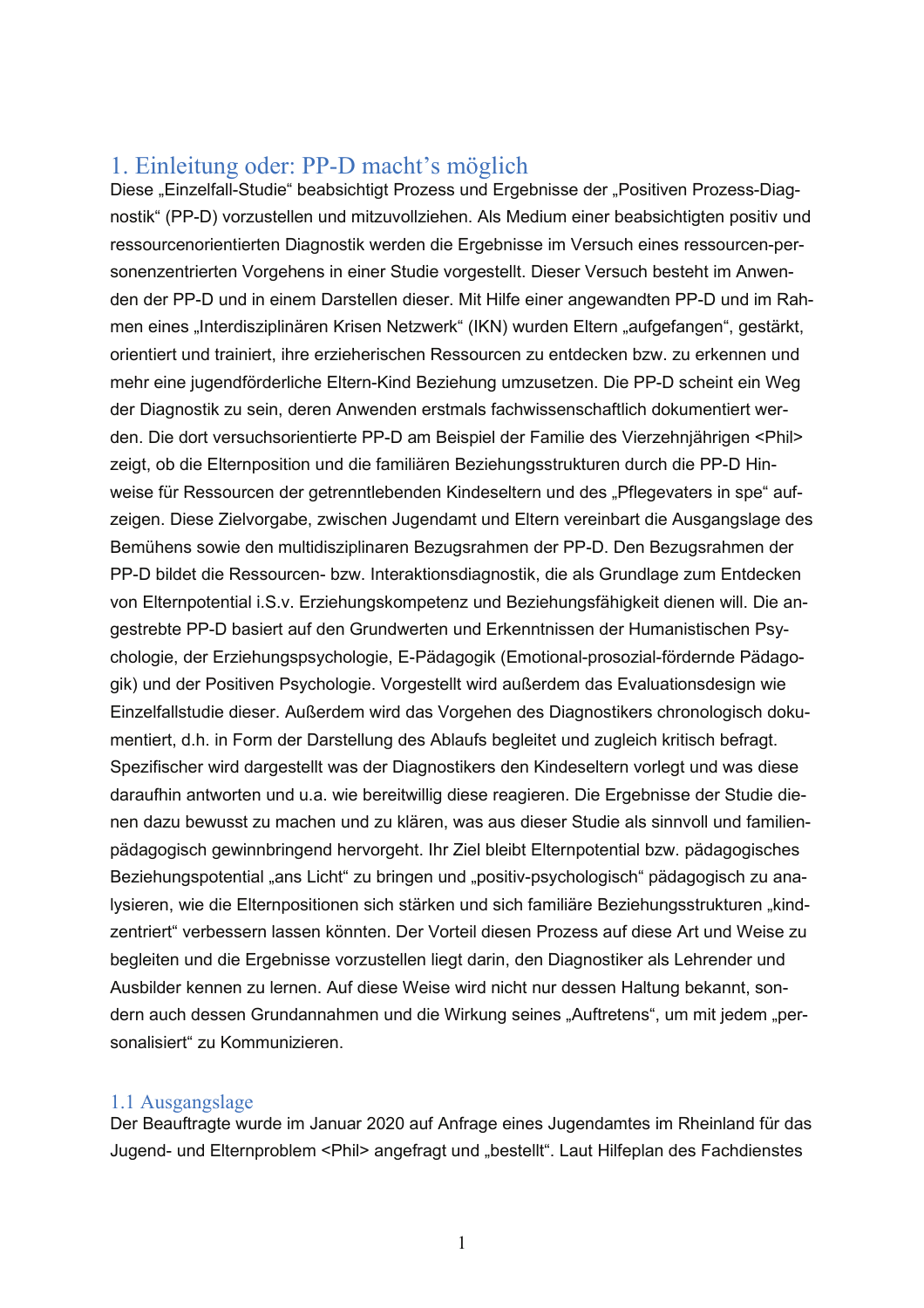# 1. Einleitung oder: PP-D macht's möglich

Diese "Einzelfall-Studie" beabsichtigt Prozess und Ergebnisse der "Positiven Prozess-Diagnostik" (PP-D) vorzustellen und mitzuvollziehen. Als Medium einer beabsichtigten positiv und ressourcenorientierten Diagnostik werden die Ergebnisse im Versuch eines ressourcen-personenzentrierten Vorgehens in einer Studie vorgestellt. Dieser Versuch besteht im Anwenden der PP-D und in einem Darstellen dieser. Mit Hilfe einer angewandten PP-D und im Rahmen eines "Interdisziplinären Krisen Netzwerk" (IKN) wurden Eltern "aufgefangen", gestärkt, orientiert und trainiert, ihre erzieherischen Ressourcen zu entdecken bzw. zu erkennen und mehr eine jugendförderliche Eltern-Kind Beziehung umzusetzen. Die PP-D scheint ein Weg der Diagnostik zu sein, deren Anwenden erstmals fachwissenschaftlich dokumentiert werden. Die dort versuchsorientierte PP-D am Beispiel der Familie des Vierzehniährigen <Phil> zeigt, ob die Elternposition und die familiären Beziehungsstrukturen durch die PP-D Hinweise für Ressourcen der getrenntlebenden Kindeseltern und des "Pflegevaters in spe" aufzeigen. Diese Zielvorgabe, zwischen Jugendamt und Eltern vereinbart die Ausgangslage des Bemühens sowie den multidisziplinaren Bezugsrahmen der PP-D. Den Bezugsrahmen der PP-D bildet die Ressourcen- bzw. Interaktionsdiagnostik, die als Grundlage zum Entdecken von Elternpotential i.S.v. Erziehungskompetenz und Beziehungsfähigkeit dienen will. Die angestrebte PP-D basiert auf den Grundwerten und Erkenntnissen der Humanistischen Psychologie, der Erziehungspsychologie, E-Pädagogik (Emotional-prosozial-fördernde Pädagogik) und der Positiven Psychologie. Vorgestellt wird außerdem das Evaluationsdesign wie Einzelfallstudie dieser. Außerdem wird das Vorgehen des Diagnostikers chronologisch dokumentiert, d.h. in Form der Darstellung des Ablaufs begleitet und zugleich kritisch befragt. Spezifischer wird dargestellt was der Diagnostikers den Kindeseltern vorlegt und was diese daraufhin antworten und u.a. wie bereitwillig diese reagieren. Die Ergebnisse der Studie dienen dazu bewusst zu machen und zu klären, was aus dieser Studie als sinnvoll und familienpädagogisch gewinnbringend hervorgeht. Ihr Ziel bleibt Elternpotential bzw. pädagogisches Beziehungspotential "ans Licht" zu bringen und "positiv-psychologisch" pädagogisch zu analysieren, wie die Elternpositionen sich stärken und sich familiäre Beziehungsstrukturen "kindzentriert" verbessern lassen könnten. Der Vorteil diesen Prozess auf diese Art und Weise zu begleiten und die Ergebnisse vorzustellen liegt darin, den Diagnostiker als Lehrender und Ausbilder kennen zu lernen. Auf diese Weise wird nicht nur dessen Haltung bekannt, sondern auch dessen Grundannahmen und die Wirkung seines "Auftretens", um mit jedem "personalisiert" zu Kommunizieren.

### 1.1 Ausgangslage

Der Beauftragte wurde im Januar 2020 auf Anfrage eines Jugendamtes im Rheinland für das Jugend- und Elternproblem <Phil> angefragt und "bestellt". Laut Hilfeplan des Fachdienstes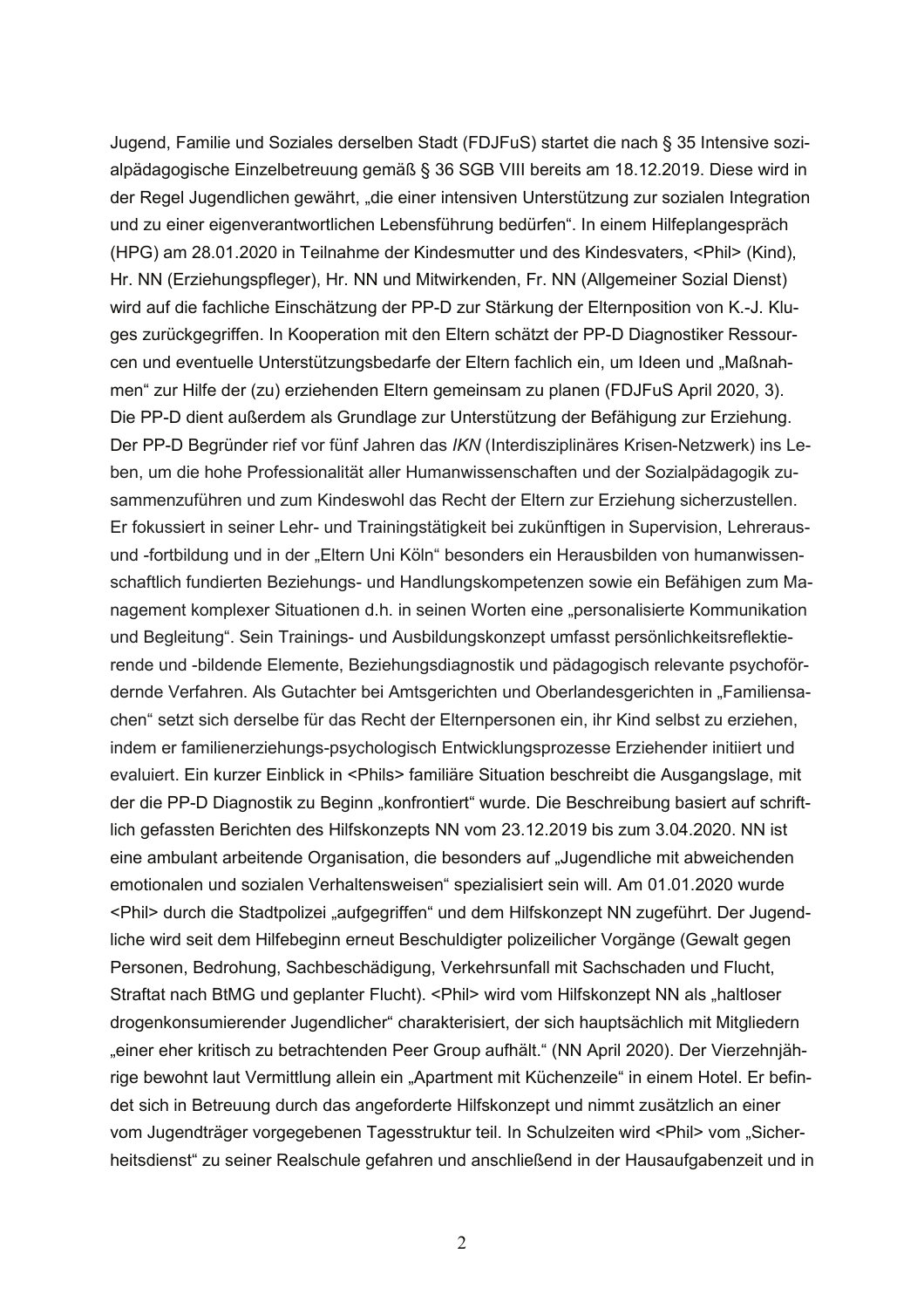Jugend, Familie und Soziales derselben Stadt (FDJFuS) startet die nach § 35 Intensive sozialpädagogische Einzelbetreuung gemäß § 36 SGB VIII bereits am 18.12.2019. Diese wird in der Regel Jugendlichen gewährt, "die einer intensiven Unterstützung zur sozialen Integration und zu einer eigenverantwortlichen Lebensführung bedürfen". In einem Hilfeplangespräch (HPG) am 28.01.2020 in Teilnahme der Kindesmutter und des Kindesvaters, <Phil> (Kind), Hr. NN (Erziehungspfleger), Hr. NN und Mitwirkenden, Fr. NN (Allgemeiner Sozial Dienst) wird auf die fachliche Einschätzung der PP-D zur Stärkung der Elternposition von K.-J. Kluges zurückgegriffen. In Kooperation mit den Eltern schätzt der PP-D Diagnostiker Ressourcen und eventuelle Unterstützungsbedarfe der Eltern fachlich ein, um Ideen und "Maßnahmen" zur Hilfe der (zu) erziehenden Eltern gemeinsam zu planen (FDJFuS April 2020, 3). Die PP-D dient außerdem als Grundlage zur Unterstützung der Befähigung zur Erziehung. Der PP-D Begründer rief vor fünf Jahren das IKN (Interdisziplinäres Krisen-Netzwerk) ins Leben, um die hohe Professionalität aller Humanwissenschaften und der Sozialpädagogik zusammenzuführen und zum Kindeswohl das Recht der Eltern zur Erziehung sicherzustellen. Er fokussiert in seiner Lehr- und Trainingstätigkeit bei zukünftigen in Supervision, Lehrerausund -fortbildung und in der "Eltern Uni Köln" besonders ein Herausbilden von humanwissenschaftlich fundierten Beziehungs- und Handlungskompetenzen sowie ein Befähigen zum Management komplexer Situationen d.h. in seinen Worten eine "personalisierte Kommunikation und Begleitung". Sein Trainings- und Ausbildungskonzept umfasst persönlichkeitsreflektierende und -bildende Elemente, Beziehungsdiagnostik und pädagogisch relevante psychofördernde Verfahren. Als Gutachter bei Amtsgerichten und Oberlandesgerichten in "Familiensachen" setzt sich derselbe für das Recht der Elternpersonen ein, ihr Kind selbst zu erziehen, indem er familienerziehungs-psychologisch Entwicklungsprozesse Erziehender initiiert und evaluiert. Ein kurzer Einblick in <Phils> familiäre Situation beschreibt die Ausgangslage, mit der die PP-D Diagnostik zu Beginn "konfrontiert" wurde. Die Beschreibung basiert auf schriftlich gefassten Berichten des Hilfskonzepts NN vom 23.12.2019 bis zum 3.04.2020. NN ist eine ambulant arbeitende Organisation, die besonders auf "Jugendliche mit abweichenden emotionalen und sozialen Verhaltensweisen" spezialisiert sein will. Am 01.01.2020 wurde <Phil> durch die Stadtpolizei "aufgegriffen" und dem Hilfskonzept NN zugeführt. Der Jugendliche wird seit dem Hilfebeginn erneut Beschuldigter polizeilicher Vorgänge (Gewalt gegen Personen, Bedrohung, Sachbeschädigung, Verkehrsunfall mit Sachschaden und Flucht, Straftat nach BtMG und geplanter Flucht). <Phil> wird vom Hilfskonzept NN als "haltloser drogenkonsumierender Jugendlicher" charakterisiert, der sich hauptsächlich mit Mitgliedern "einer eher kritisch zu betrachtenden Peer Group aufhält." (NN April 2020). Der Vierzehnjährige bewohnt laut Vermittlung allein ein "Apartment mit Küchenzeile" in einem Hotel. Er befindet sich in Betreuung durch das angeforderte Hilfskonzept und nimmt zusätzlich an einer vom Jugendträger vorgegebenen Tagesstruktur teil. In Schulzeiten wird <Phil> vom "Sicherheitsdienst" zu seiner Realschule gefahren und anschließend in der Hausaufgabenzeit und in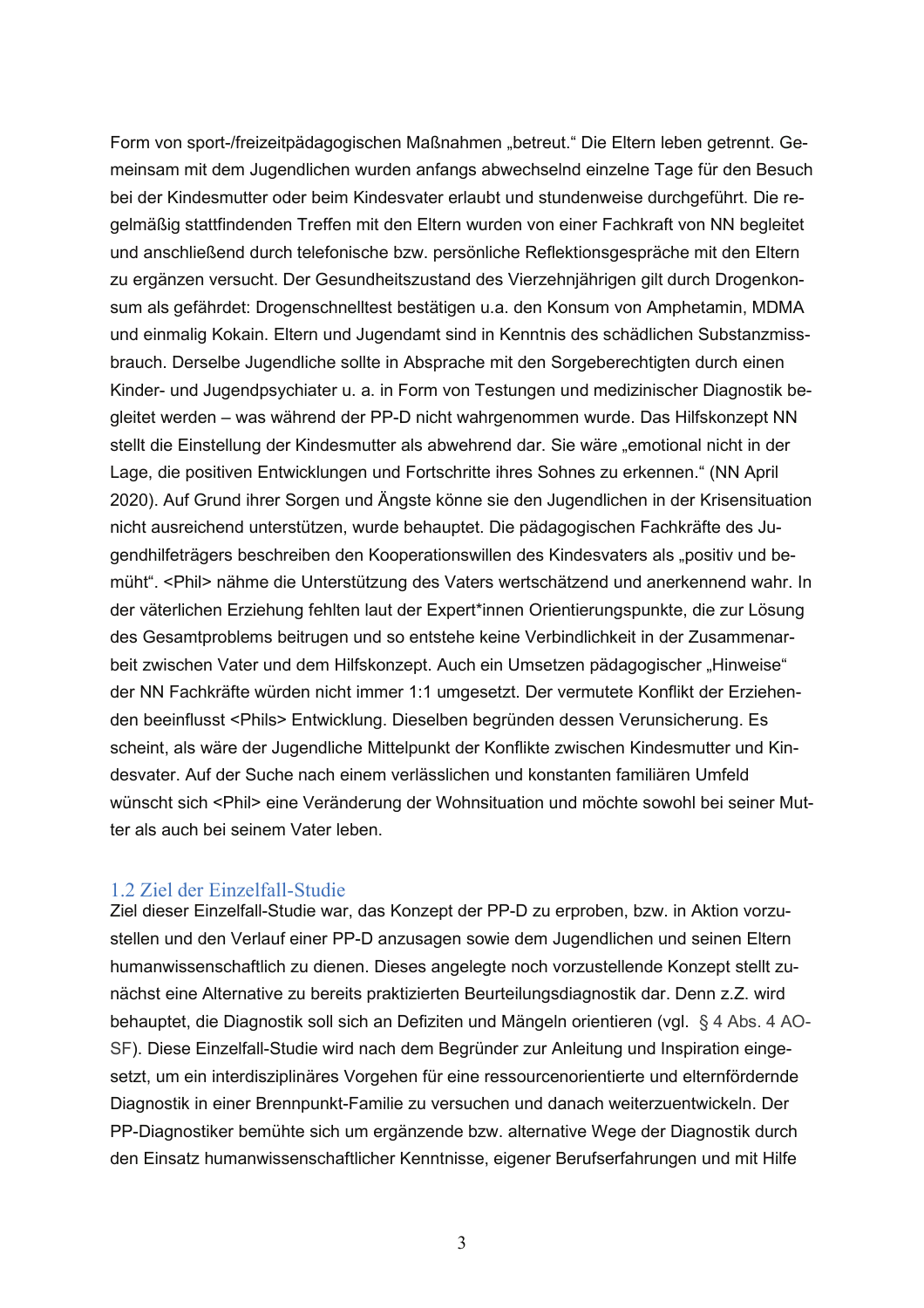Form von sport-/freizeitpädagogischen Maßnahmen "betreut." Die Eltern leben getrennt. Gemeinsam mit dem Jugendlichen wurden anfangs abwechselnd einzelne Tage für den Besuch bei der Kindesmutter oder beim Kindesvater erlaubt und stundenweise durchgeführt. Die regelmäßig stattfindenden Treffen mit den Eltern wurden von einer Fachkraft von NN begleitet und anschließend durch telefonische bzw. persönliche Reflektionsgespräche mit den Eltern zu ergänzen versucht. Der Gesundheitszustand des Vierzehnjährigen gilt durch Drogenkonsum als gefährdet: Drogenschnelltest bestätigen u.a. den Konsum von Amphetamin, MDMA und einmalig Kokain. Eltern und Jugendamt sind in Kenntnis des schädlichen Substanzmissbrauch. Derselbe Jugendliche sollte in Absprache mit den Sorgeberechtigten durch einen Kinder- und Jugendpsychiater u. a. in Form von Testungen und medizinischer Diagnostik begleitet werden – was während der PP-D nicht wahrgenommen wurde. Das Hilfskonzept NN stellt die Einstellung der Kindesmutter als abwehrend dar. Sie wäre "emotional nicht in der Lage, die positiven Entwicklungen und Fortschritte ihres Sohnes zu erkennen." (NN April 2020). Auf Grund ihrer Sorgen und Ängste könne sie den Jugendlichen in der Krisensituation nicht ausreichend unterstützen, wurde behauptet. Die pädagogischen Fachkräfte des Jugendhilfeträgers beschreiben den Kooperationswillen des Kindesvaters als "positiv und bemüht". <Phil> nähme die Unterstützung des Vaters wertschätzend und anerkennend wahr. In der väterlichen Erziehung fehlten laut der Expert\*innen Orientierungspunkte, die zur Lösung des Gesamtproblems beitrugen und so entstehe keine Verbindlichkeit in der Zusammenarbeit zwischen Vater und dem Hilfskonzept. Auch ein Umsetzen pädagogischer "Hinweise" der NN Fachkräfte würden nicht immer 1:1 umgesetzt. Der vermutete Konflikt der Erziehenden beeinflusst <Phils> Entwicklung. Dieselben begründen dessen Verunsicherung. Es scheint, als wäre der Jugendliche Mittelpunkt der Konflikte zwischen Kindesmutter und Kindesvater. Auf der Suche nach einem verlässlichen und konstanten familiären Umfeld wünscht sich <Phil> eine Veränderung der Wohnsituation und möchte sowohl bei seiner Mutter als auch bei seinem Vater leben.

### 1.2 Ziel der Einzelfall-Studie

Ziel dieser Einzelfall-Studie war, das Konzept der PP-D zu erproben, bzw. in Aktion vorzustellen und den Verlauf einer PP-D anzusagen sowie dem Jugendlichen und seinen Eltern humanwissenschaftlich zu dienen. Dieses angelegte noch vorzustellende Konzept stellt zunächst eine Alternative zu bereits praktizierten Beurteilungsdiagnostik dar. Denn z.Z. wird behauptet, die Diagnostik soll sich an Defiziten und Mängeln orientieren (vgl. § 4 Abs. 4 AO-SF). Diese Einzelfall-Studie wird nach dem Begründer zur Anleitung und Inspiration eingesetzt, um ein interdisziplinäres Vorgehen für eine ressourcenorientierte und elternfördernde Diagnostik in einer Brennpunkt-Familie zu versuchen und danach weiterzuentwickeln. Der PP-Diagnostiker bemühte sich um ergänzende bzw. alternative Wege der Diagnostik durch den Einsatz humanwissenschaftlicher Kenntnisse, eigener Berufserfahrungen und mit Hilfe

3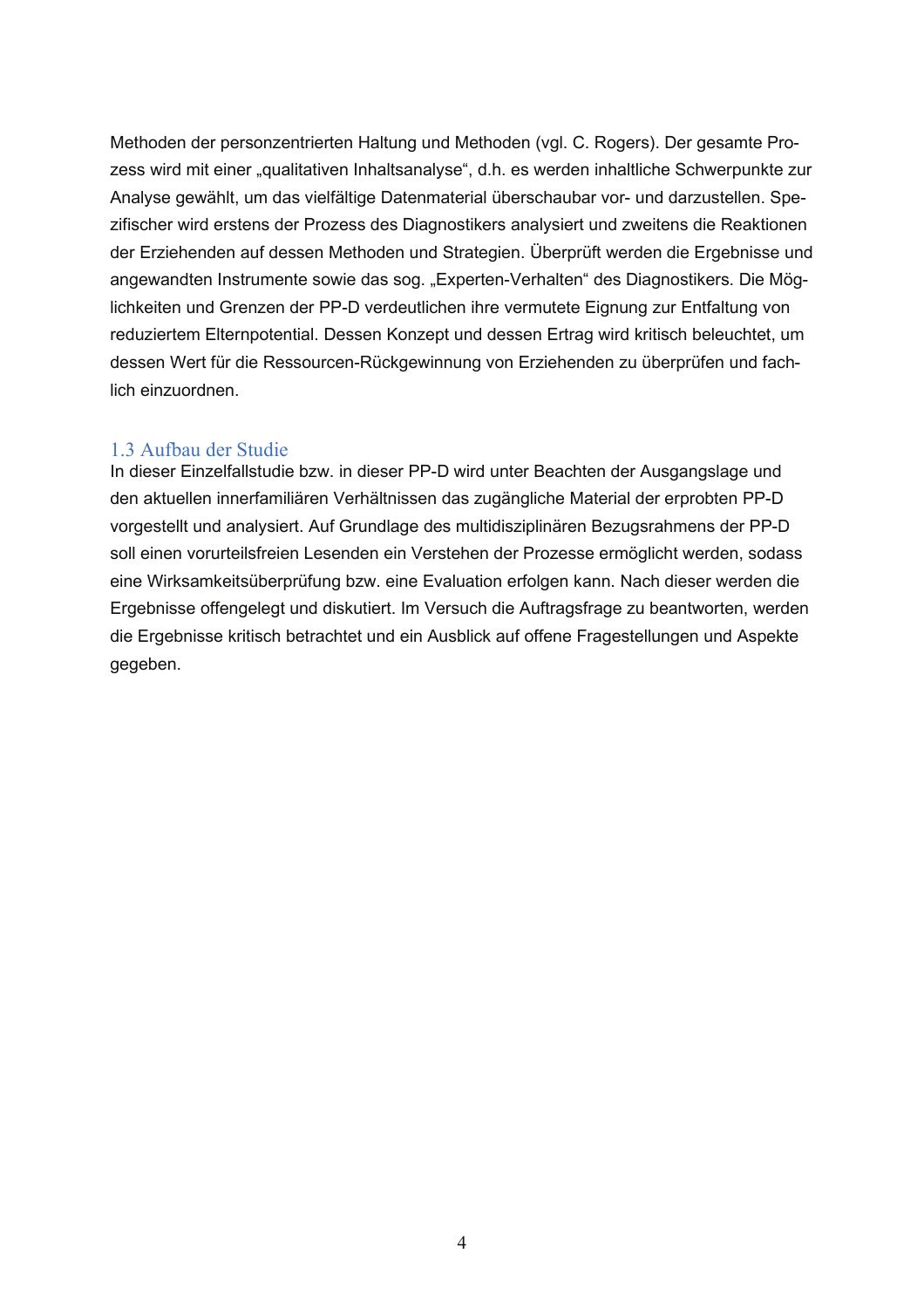Methoden der personzentrierten Haltung und Methoden (vgl. C. Rogers). Der gesamte Prozess wird mit einer "gualitativen Inhaltsanalyse", d.h. es werden inhaltliche Schwerpunkte zur Analyse gewählt, um das vielfältige Datenmaterial überschaubar vor- und darzustellen. Spezifischer wird erstens der Prozess des Diagnostikers analysiert und zweitens die Reaktionen der Erziehenden auf dessen Methoden und Strategien. Überprüft werden die Ergebnisse und angewandten Instrumente sowie das sog. "Experten-Verhalten" des Diagnostikers. Die Möglichkeiten und Grenzen der PP-D verdeutlichen ihre vermutete Eignung zur Entfaltung von reduziertem Elternpotential. Dessen Konzept und dessen Ertrag wird kritisch beleuchtet, um dessen Wert für die Ressourcen-Rückgewinnung von Erziehenden zu überprüfen und fachlich einzuordnen

### 1.3 Aufbau der Studie

In dieser Einzelfallstudie bzw. in dieser PP-D wird unter Beachten der Ausgangslage und den aktuellen innerfamiliären Verhältnissen das zugängliche Material der erprobten PP-D vorgestellt und analysiert. Auf Grundlage des multidisziplinären Bezugsrahmens der PP-D soll einen vorurteilsfreien Lesenden ein Verstehen der Prozesse ermöglicht werden, sodass eine Wirksamkeitsüberprüfung bzw. eine Evaluation erfolgen kann. Nach dieser werden die Ergebnisse offengelegt und diskutiert. Im Versuch die Auftragsfrage zu beantworten, werden die Ergebnisse kritisch betrachtet und ein Ausblick auf offene Fragestellungen und Aspekte gegeben.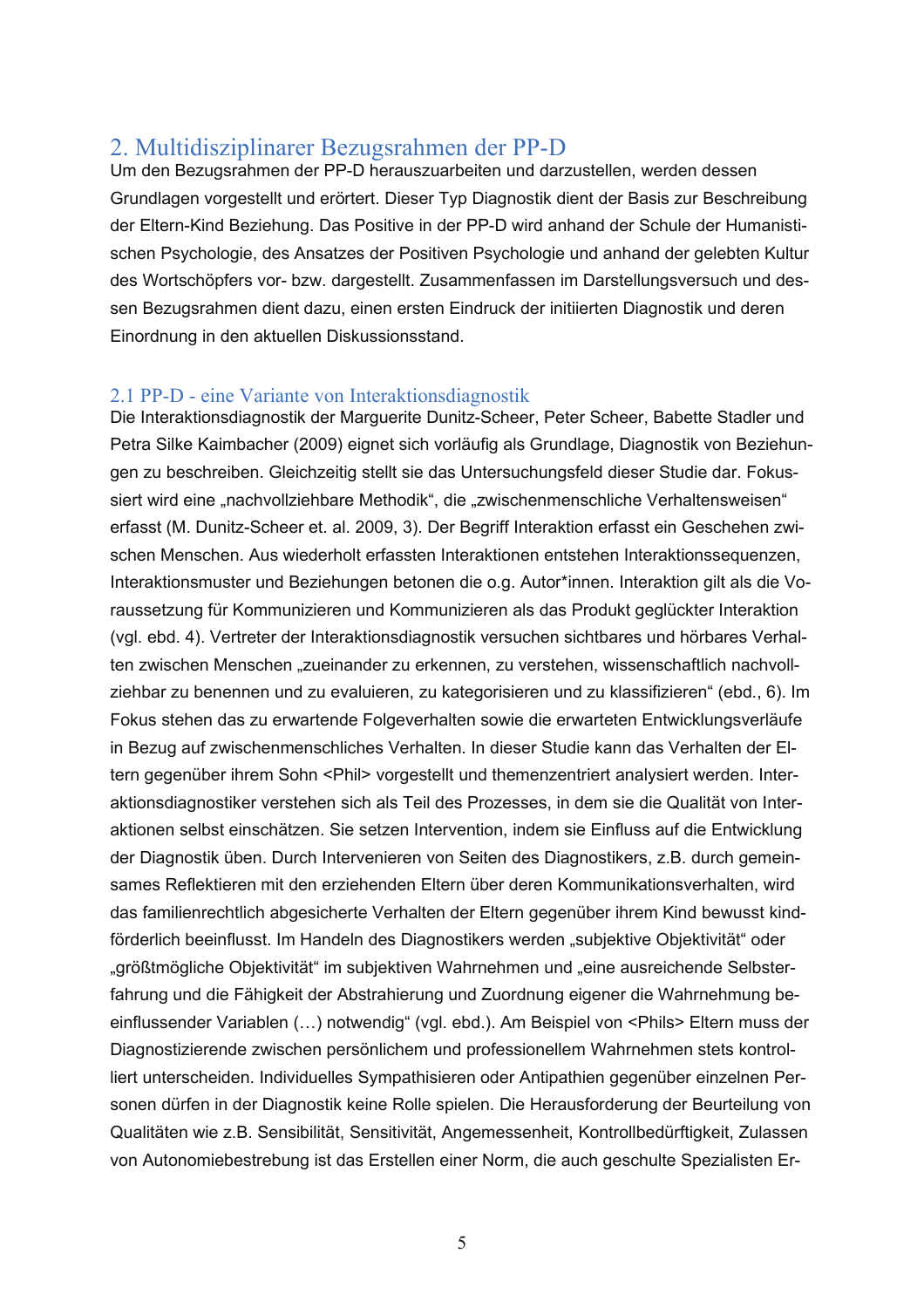## 2. Multidisziplinarer Bezugsrahmen der PP-D

Um den Bezugsrahmen der PP-D herauszuarbeiten und darzustellen, werden dessen Grundlagen vorgestellt und erörtert. Dieser Typ Diagnostik dient der Basis zur Beschreibung der Eltern-Kind Beziehung. Das Positive in der PP-D wird anhand der Schule der Humanistischen Psychologie, des Ansatzes der Positiven Psychologie und anhand der gelebten Kultur des Wortschöpfers vor- bzw. dargestellt. Zusammenfassen im Darstellungsversuch und dessen Bezugsrahmen dient dazu, einen ersten Eindruck der initiierten Diagnostik und deren Einordnung in den aktuellen Diskussionsstand.

### 2.1 PP-D - eine Variante von Interaktionsdiagnostik

Die Interaktionsdiagnostik der Marguerite Dunitz-Scheer, Peter Scheer, Babette Stadler und Petra Silke Kaimbacher (2009) eignet sich vorläufig als Grundlage, Diagnostik von Beziehungen zu beschreiben. Gleichzeitig stellt sie das Untersuchungsfeld dieser Studie dar. Fokussiert wird eine "nachvollziehbare Methodik", die "zwischenmenschliche Verhaltensweisen" erfasst (M. Dunitz-Scheer et. al. 2009, 3). Der Begriff Interaktion erfasst ein Geschehen zwischen Menschen. Aus wiederholt erfassten Interaktionen entstehen Interaktionssequenzen, Interaktionsmuster und Beziehungen betonen die o.g. Autor\*innen. Interaktion gilt als die Voraussetzung für Kommunizieren und Kommunizieren als das Produkt geglückter Interaktion (vgl. ebd. 4). Vertreter der Interaktionsdiagnostik versuchen sichtbares und hörbares Verhalten zwischen Menschen "zueinander zu erkennen, zu verstehen, wissenschaftlich nachvollziehbar zu benennen und zu evaluieren, zu kategorisieren und zu klassifizieren" (ebd., 6). Im Fokus stehen das zu erwartende Folgeverhalten sowie die erwarteten Entwicklungsverläufe in Bezug auf zwischenmenschliches Verhalten. In dieser Studie kann das Verhalten der Eltern gegenüber ihrem Sohn <Phil> vorgestellt und themenzentriert analysiert werden. Interaktionsdiagnostiker verstehen sich als Teil des Prozesses, in dem sie die Qualität von Interaktionen selbst einschätzen. Sie setzen Intervention, indem sie Einfluss auf die Entwicklung der Diagnostik üben. Durch Intervenieren von Seiten des Diagnostikers, z.B. durch gemeinsames Reflektieren mit den erziehenden Eltern über deren Kommunikationsverhalten, wird das familienrechtlich abgesicherte Verhalten der Eltern gegenüber ihrem Kind bewusst kindförderlich beeinflusst. Im Handeln des Diagnostikers werden "subjektive Objektivität" oder "größtmögliche Objektivität" im subjektiven Wahrnehmen und "eine ausreichende Selbsterfahrung und die Fähigkeit der Abstrahierung und Zuordnung eigener die Wahrnehmung beeinflussender Variablen (...) notwendig" (vgl. ebd.). Am Beispiel von <Phils> Eltern muss der Diagnostizierende zwischen persönlichem und professionellem Wahrnehmen stets kontrolliert unterscheiden. Individuelles Sympathisieren oder Antipathien gegenüber einzelnen Personen dürfen in der Diagnostik keine Rolle spielen. Die Herausforderung der Beurteilung von Qualitäten wie z.B. Sensibilität, Sensitivität, Angemessenheit, Kontrollbedürftigkeit, Zulassen von Autonomiebestrebung ist das Erstellen einer Norm, die auch geschulte Spezialisten Er-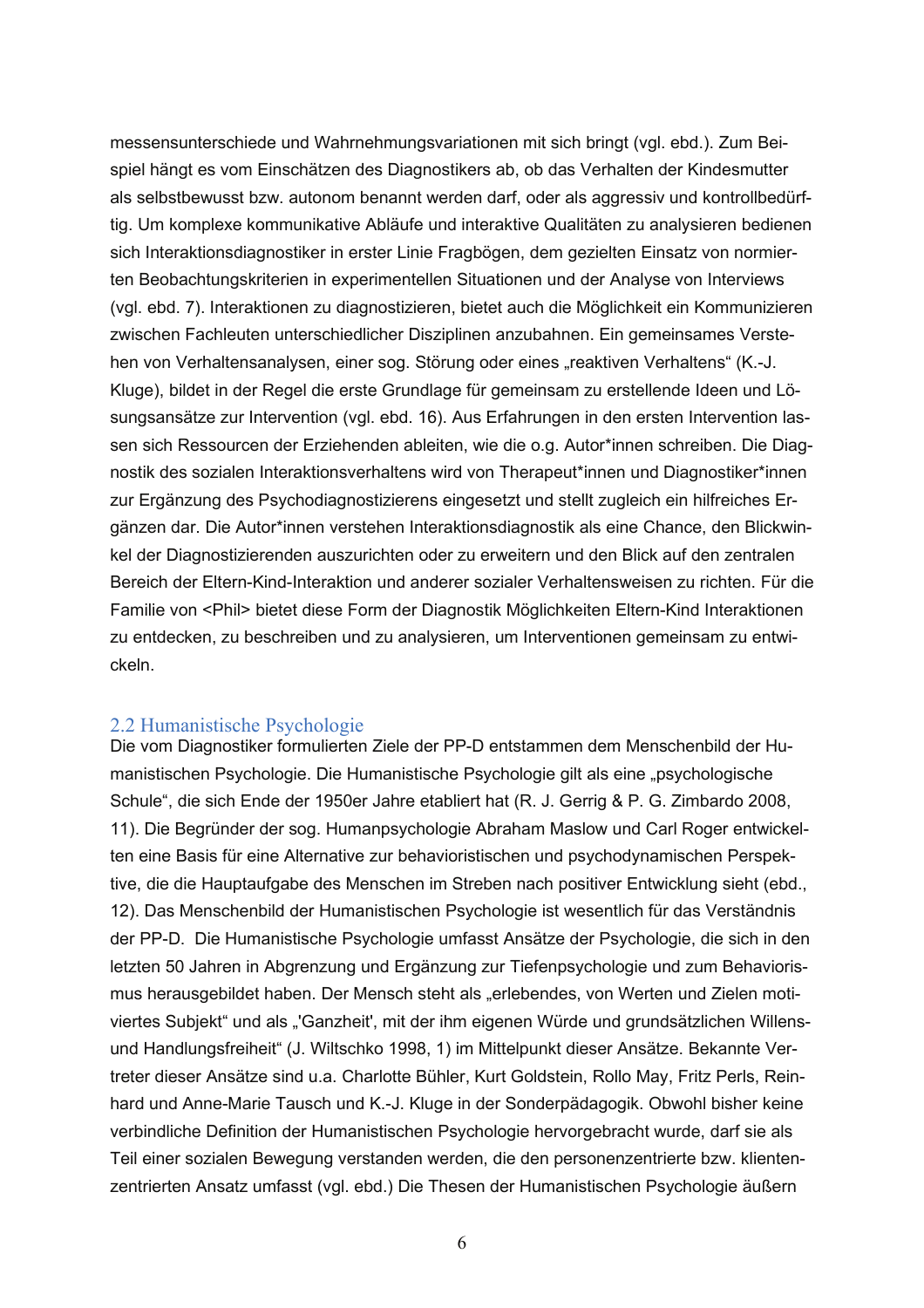messensunterschiede und Wahrnehmungsvariationen mit sich bringt (vgl. ebd.). Zum Beispiel hängt es vom Einschätzen des Diagnostikers ab, ob das Verhalten der Kindesmutter als selbstbewusst bzw. autonom benannt werden darf, oder als aggressiv und kontrollbedürftig. Um komplexe kommunikative Abläufe und interaktive Qualitäten zu analysieren bedienen sich Interaktionsdiagnostiker in erster Linie Fragbögen, dem gezielten Einsatz von normierten Beobachtungskriterien in experimentellen Situationen und der Analyse von Interviews (vgl. ebd. 7). Interaktionen zu diagnostizieren, bietet auch die Möglichkeit ein Kommunizieren zwischen Fachleuten unterschiedlicher Disziplinen anzubahnen. Ein gemeinsames Verstehen von Verhaltensanalysen, einer sog. Störung oder eines "reaktiven Verhaltens" (K.-J. Kluge), bildet in der Regel die erste Grundlage für gemeinsam zu erstellende Ideen und Lösungsansätze zur Intervention (vgl. ebd. 16). Aus Erfahrungen in den ersten Intervention lassen sich Ressourcen der Erziehenden ableiten, wie die o.g. Autor\*innen schreiben. Die Diagnostik des sozialen Interaktionsverhaltens wird von Therapeut\*innen und Diagnostiker\*innen zur Ergänzung des Psychodiagnostizierens eingesetzt und stellt zugleich ein hilfreiches Ergänzen dar. Die Autor\*innen verstehen Interaktionsdiagnostik als eine Chance, den Blickwinkel der Diagnostizierenden auszurichten oder zu erweitern und den Blick auf den zentralen Bereich der Eltern-Kind-Interaktion und anderer sozialer Verhaltensweisen zu richten. Für die Familie von <Phil> bietet diese Form der Diagnostik Möglichkeiten Eltern-Kind Interaktionen zu entdecken, zu beschreiben und zu analysieren, um Interventionen gemeinsam zu entwickeln.

### 2.2 Humanistische Psychologie

Die vom Diagnostiker formulierten Ziele der PP-D entstammen dem Menschenbild der Humanistischen Psychologie. Die Humanistische Psychologie gilt als eine "psychologische Schule", die sich Ende der 1950er Jahre etabliert hat (R. J. Gerrig & P. G. Zimbardo 2008, 11). Die Begründer der sog. Humanpsychologie Abraham Maslow und Carl Roger entwickelten eine Basis für eine Alternative zur behavioristischen und psychodynamischen Perspektive, die die Hauptaufgabe des Menschen im Streben nach positiver Entwicklung sieht (ebd., 12). Das Menschenbild der Humanistischen Psychologie ist wesentlich für das Verständnis der PP-D. Die Humanistische Psychologie umfasst Ansätze der Psychologie, die sich in den letzten 50 Jahren in Abgrenzung und Ergänzung zur Tiefenpsychologie und zum Behaviorismus herausgebildet haben. Der Mensch steht als "erlebendes, von Werten und Zielen motiviertes Subjekt" und als "'Ganzheit', mit der ihm eigenen Würde und grundsätzlichen Willensund Handlungsfreiheit" (J. Wiltschko 1998, 1) im Mittelpunkt dieser Ansätze. Bekannte Vertreter dieser Ansätze sind u.a. Charlotte Bühler, Kurt Goldstein, Rollo May, Fritz Perls, Reinhard und Anne-Marie Tausch und K.-J. Kluge in der Sonderpädagogik. Obwohl bisher keine verbindliche Definition der Humanistischen Psychologie hervorgebracht wurde, darf sie als Teil einer sozialen Bewegung verstanden werden, die den personenzentrierte bzw. klientenzentrierten Ansatz umfasst (vgl. ebd.) Die Thesen der Humanistischen Psychologie äußern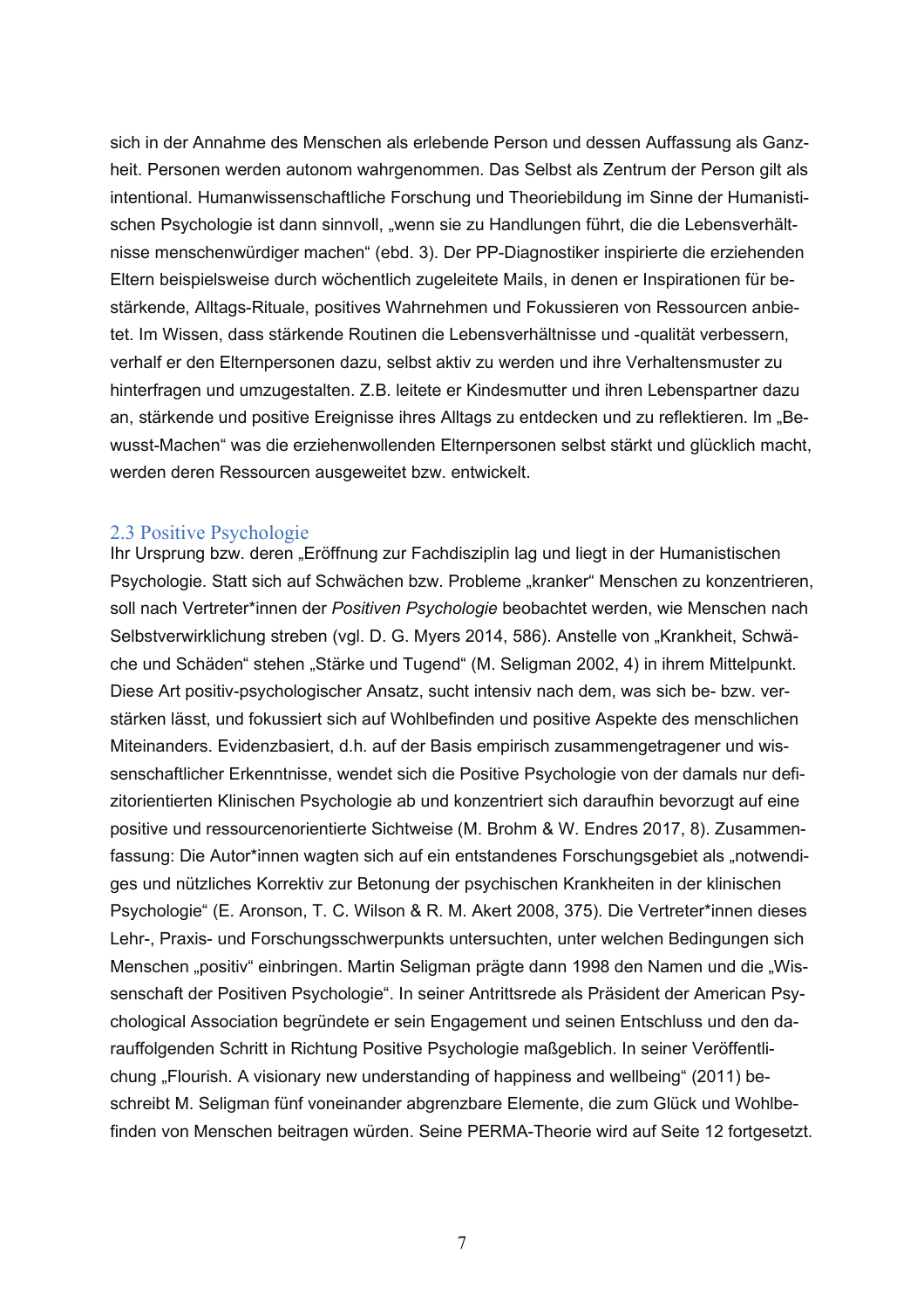sich in der Annahme des Menschen als erlebende Person und dessen Auffassung als Ganzheit. Personen werden autonom wahrgenommen. Das Selbst als Zentrum der Person gilt als intentional. Humanwissenschaftliche Forschung und Theoriebildung im Sinne der Humanistischen Psychologie ist dann sinnvoll, "wenn sie zu Handlungen führt, die die Lebensverhältnisse menschenwürdiger machen" (ebd. 3). Der PP-Diagnostiker inspirierte die erziehenden Eltern beispielsweise durch wöchentlich zugeleitete Mails, in denen er Inspirationen für bestärkende, Alltags-Rituale, positives Wahrnehmen und Fokussieren von Ressourcen anbietet. Im Wissen, dass stärkende Routinen die Lebensverhältnisse und -qualität verbessern, verhalf er den Elternpersonen dazu, selbst aktiv zu werden und ihre Verhaltensmuster zu hinterfragen und umzugestalten. Z.B. leitete er Kindesmutter und ihren Lebenspartner dazu an, stärkende und positive Ereignisse ihres Alltags zu entdecken und zu reflektieren. Im "Bewusst-Machen" was die erziehenwollenden Elternpersonen selbst stärkt und glücklich macht, werden deren Ressourcen ausgeweitet bzw. entwickelt.

#### 2.3 Positive Psychologie

Ihr Ursprung bzw. deren "Eröffnung zur Fachdisziplin lag und liegt in der Humanistischen Psychologie. Statt sich auf Schwächen bzw. Probleme "kranker" Menschen zu konzentrieren, soll nach Vertreter\*innen der Positiven Psychologie beobachtet werden, wie Menschen nach Selbstverwirklichung streben (vgl. D. G. Myers 2014, 586). Anstelle von "Krankheit, Schwäche und Schäden" stehen "Stärke und Tugend" (M. Seligman 2002, 4) in ihrem Mittelpunkt. Diese Art positiv-psychologischer Ansatz, sucht intensiv nach dem, was sich be- bzw. verstärken lässt, und fokussiert sich auf Wohlbefinden und positive Aspekte des menschlichen Miteinanders. Evidenzbasiert, d.h. auf der Basis empirisch zusammengetragener und wissenschaftlicher Erkenntnisse, wendet sich die Positive Psychologie von der damals nur defizitorientierten Klinischen Psychologie ab und konzentriert sich daraufhin bevorzugt auf eine positive und ressourcenorientierte Sichtweise (M. Brohm & W. Endres 2017, 8). Zusammenfassung: Die Autor\*innen wagten sich auf ein entstandenes Forschungsgebiet als "notwendiges und nützliches Korrektiv zur Betonung der psychischen Krankheiten in der klinischen Psychologie" (E. Aronson, T. C. Wilson & R. M. Akert 2008, 375). Die Vertreter\*innen dieses Lehr-, Praxis- und Forschungsschwerpunkts untersuchten, unter welchen Bedingungen sich Menschen "positiv" einbringen. Martin Seligman prägte dann 1998 den Namen und die "Wissenschaft der Positiven Psychologie". In seiner Antrittsrede als Präsident der American Psychological Association begründete er sein Engagement und seinen Entschluss und den darauffolgenden Schritt in Richtung Positive Psychologie maßgeblich. In seiner Veröffentlichung "Flourish. A visionary new understanding of happiness and wellbeing" (2011) beschreibt M. Seligman fünf voneinander abgrenzbare Elemente, die zum Glück und Wohlbefinden von Menschen beitragen würden. Seine PERMA-Theorie wird auf Seite 12 fortgesetzt.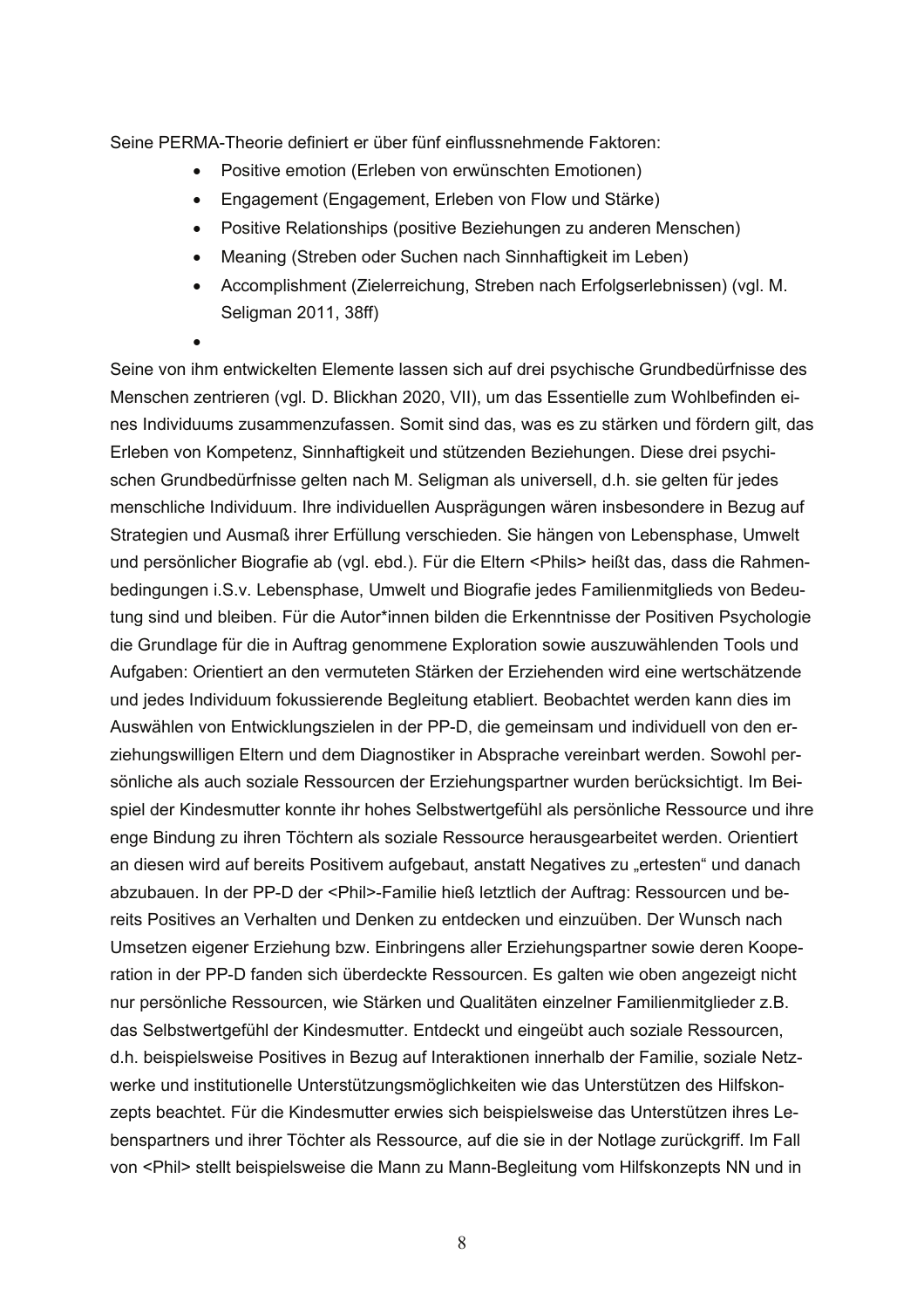Seine PERMA-Theorie definiert er über fünf einflussnehmende Faktoren:

- Positive emotion (Erleben von erwünschten Emotionen)
- Engagement (Engagement, Erleben von Flow und Stärke)  $\bullet$
- Positive Relationships (positive Beziehungen zu anderen Menschen)
- Meaning (Streben oder Suchen nach Sinnhaftigkeit im Leben)  $\bullet$
- Accomplishment (Zielerreichung, Streben nach Erfolgserlebnissen) (vgl. M.  $\bullet$ Seligman 2011, 38ff)
- 

Seine von ihm entwickelten Elemente lassen sich auf drei psychische Grundbedürfnisse des Menschen zentrieren (vgl. D. Blickhan 2020, VII), um das Essentielle zum Wohlbefinden eines Individuums zusammenzufassen. Somit sind das, was es zu stärken und fördern gilt, das Erleben von Kompetenz, Sinnhaftigkeit und stützenden Beziehungen. Diese drei psychischen Grundbedürfnisse gelten nach M. Seligman als universell, d.h. sie gelten für jedes menschliche Individuum. Ihre individuellen Ausprägungen wären insbesondere in Bezug auf Strategien und Ausmaß ihrer Erfüllung verschieden. Sie hängen von Lebensphase, Umwelt und persönlicher Biografie ab (vgl. ebd.). Für die Eltern <Phils> heißt das, dass die Rahmenbedingungen i.S.v. Lebensphase, Umwelt und Biografie jedes Familienmitglieds von Bedeutung sind und bleiben. Für die Autor\*innen bilden die Erkenntnisse der Positiven Psychologie die Grundlage für die in Auftrag genommene Exploration sowie auszuwählenden Tools und Aufgaben: Orientiert an den vermuteten Stärken der Erziehenden wird eine wertschätzende und jedes Individuum fokussierende Begleitung etabliert. Beobachtet werden kann dies im Auswählen von Entwicklungszielen in der PP-D, die gemeinsam und individuell von den erziehungswilligen Eltern und dem Diagnostiker in Absprache vereinbart werden. Sowohl persönliche als auch soziale Ressourcen der Erziehungspartner wurden berücksichtigt. Im Beispiel der Kindesmutter konnte ihr hohes Selbstwertgefühl als persönliche Ressource und ihre enge Bindung zu ihren Töchtern als soziale Ressource herausgearbeitet werden. Orientiert an diesen wird auf bereits Positivem aufgebaut, anstatt Negatives zu "ertesten" und danach abzubauen. In der PP-D der <Phil>-Familie hieß letztlich der Auftrag: Ressourcen und bereits Positives an Verhalten und Denken zu entdecken und einzuüben. Der Wunsch nach Umsetzen eigener Erziehung bzw. Einbringens aller Erziehungspartner sowie deren Kooperation in der PP-D fanden sich überdeckte Ressourcen. Es galten wie oben angezeigt nicht nur persönliche Ressourcen, wie Stärken und Qualitäten einzelner Familienmitglieder z.B. das Selbstwertgefühl der Kindesmutter. Entdeckt und eingeübt auch soziale Ressourcen. d.h. beispielsweise Positives in Bezug auf Interaktionen innerhalb der Familie, soziale Netzwerke und institutionelle Unterstützungsmöglichkeiten wie das Unterstützen des Hilfskonzepts beachtet. Für die Kindesmutter erwies sich beispielsweise das Unterstützen ihres Lebenspartners und ihrer Töchter als Ressource, auf die sie in der Notlage zurückgriff. Im Fall von <Phil> stellt beispielsweise die Mann zu Mann-Begleitung vom Hilfskonzepts NN und in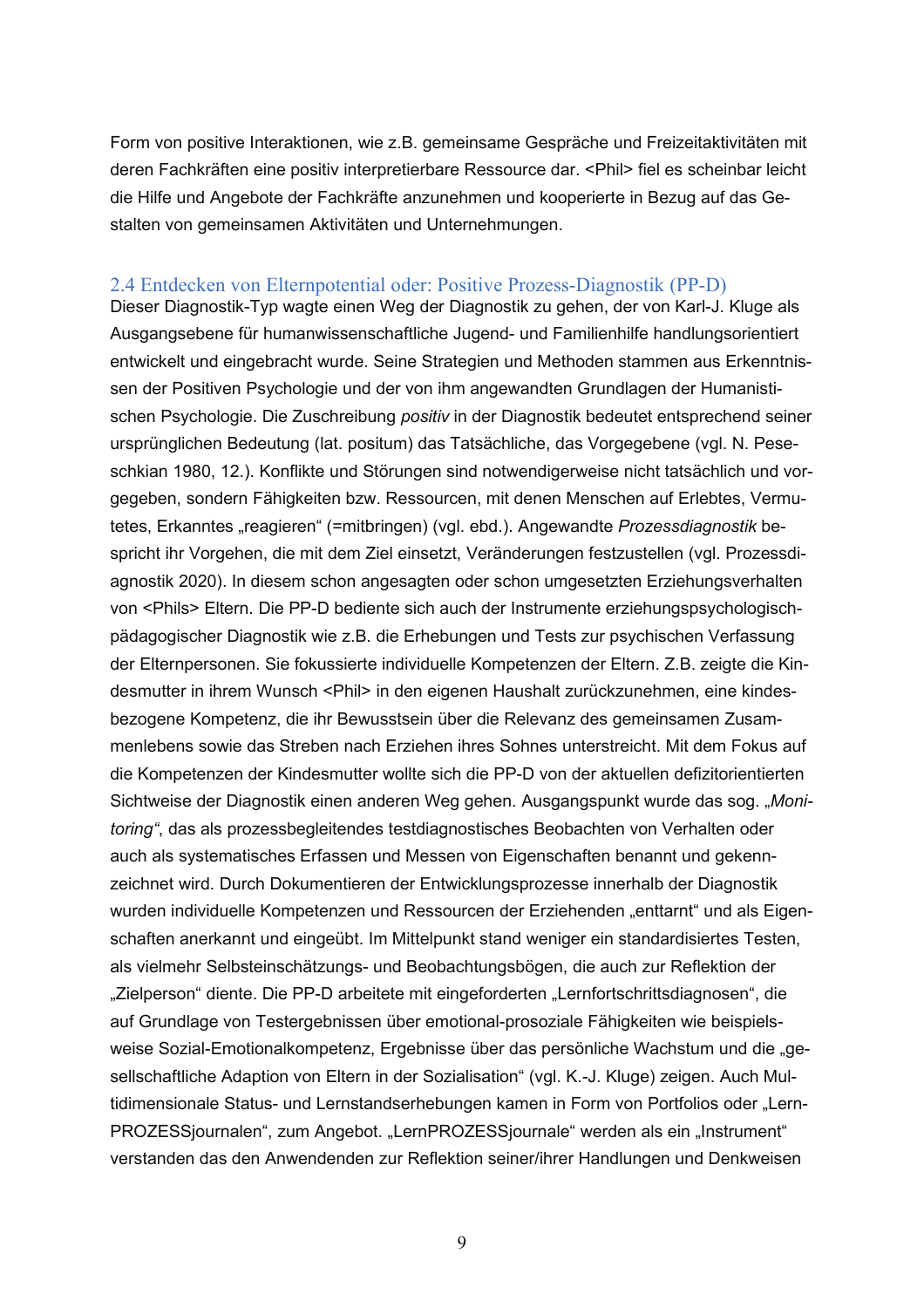Form von positive Interaktionen, wie z.B. gemeinsame Gespräche und Freizeitaktivitäten mit deren Fachkräften eine positiv interpretierbare Ressource dar. <Phil> fiel es scheinbar leicht die Hilfe und Angebote der Fachkräfte anzunehmen und kooperierte in Bezug auf das Gestalten von gemeinsamen Aktivitäten und Unternehmungen.

#### 2.4 Entdecken von Elternpotential oder: Positive Prozess-Diagnostik (PP-D)

Dieser Diagnostik-Typ wagte einen Weg der Diagnostik zu gehen, der von Karl-J. Kluge als Ausgangsebene für humanwissenschaftliche Jugend- und Familienhilfe handlungsorientiert entwickelt und eingebracht wurde. Seine Strategien und Methoden stammen aus Erkenntnissen der Positiven Psychologie und der von ihm angewandten Grundlagen der Humanistischen Psychologie. Die Zuschreibung positiv in der Diagnostik bedeutet entsprechend seiner ursprünglichen Bedeutung (lat. positum) das Tatsächliche, das Vorgegebene (vgl. N. Peseschkian 1980, 12.). Konflikte und Störungen sind notwendigerweise nicht tatsächlich und vorgegeben, sondern Fähigkeiten bzw. Ressourcen, mit denen Menschen auf Erlebtes, Vermutetes, Erkanntes "reagieren" (=mitbringen) (vgl. ebd.). Angewandte Prozessdiagnostik bespricht ihr Vorgehen, die mit dem Ziel einsetzt, Veränderungen festzustellen (vgl. Prozessdiagnostik 2020). In diesem schon angesagten oder schon umgesetzten Erziehungsverhalten von <Phils> Eltern. Die PP-D bediente sich auch der Instrumente erziehungspsychologischpädagogischer Diagnostik wie z.B. die Erhebungen und Tests zur psychischen Verfassung der Elternpersonen. Sie fokussierte individuelle Kompetenzen der Eltern. Z.B. zeigte die Kindesmutter in ihrem Wunsch <Phil> in den eigenen Haushalt zurückzunehmen, eine kindesbezogene Kompetenz, die ihr Bewusstsein über die Relevanz des gemeinsamen Zusammenlebens sowie das Streben nach Erziehen ihres Sohnes unterstreicht. Mit dem Fokus auf die Kompetenzen der Kindesmutter wollte sich die PP-D von der aktuellen defizitorientierten Sichtweise der Diagnostik einen anderen Weg gehen. Ausgangspunkt wurde das sog. "Monitoring", das als prozessbegleitendes testdiagnostisches Beobachten von Verhalten oder auch als systematisches Erfassen und Messen von Eigenschaften benannt und gekennzeichnet wird. Durch Dokumentieren der Entwicklungsprozesse innerhalb der Diagnostik wurden individuelle Kompetenzen und Ressourcen der Erziehenden "enttarnt" und als Eigenschaften anerkannt und eingeübt. Im Mittelpunkt stand weniger ein standardisiertes Testen, als vielmehr Selbsteinschätzungs- und Beobachtungsbögen, die auch zur Reflektion der "Zielperson" diente. Die PP-D arbeitete mit eingeforderten "Lernfortschrittsdiagnosen", die auf Grundlage von Testergebnissen über emotional-prosoziale Fähigkeiten wie beispielsweise Sozial-Emotionalkompetenz, Ergebnisse über das persönliche Wachstum und die "gesellschaftliche Adaption von Eltern in der Sozialisation" (vgl. K.-J. Kluge) zeigen. Auch Multidimensionale Status- und Lernstandserhebungen kamen in Form von Portfolios oder "Lern-PROZESSjournalen", zum Angebot. "LernPROZESSjournale" werden als ein "Instrument" verstanden das den Anwendenden zur Reflektion seiner/ihrer Handlungen und Denkweisen

9